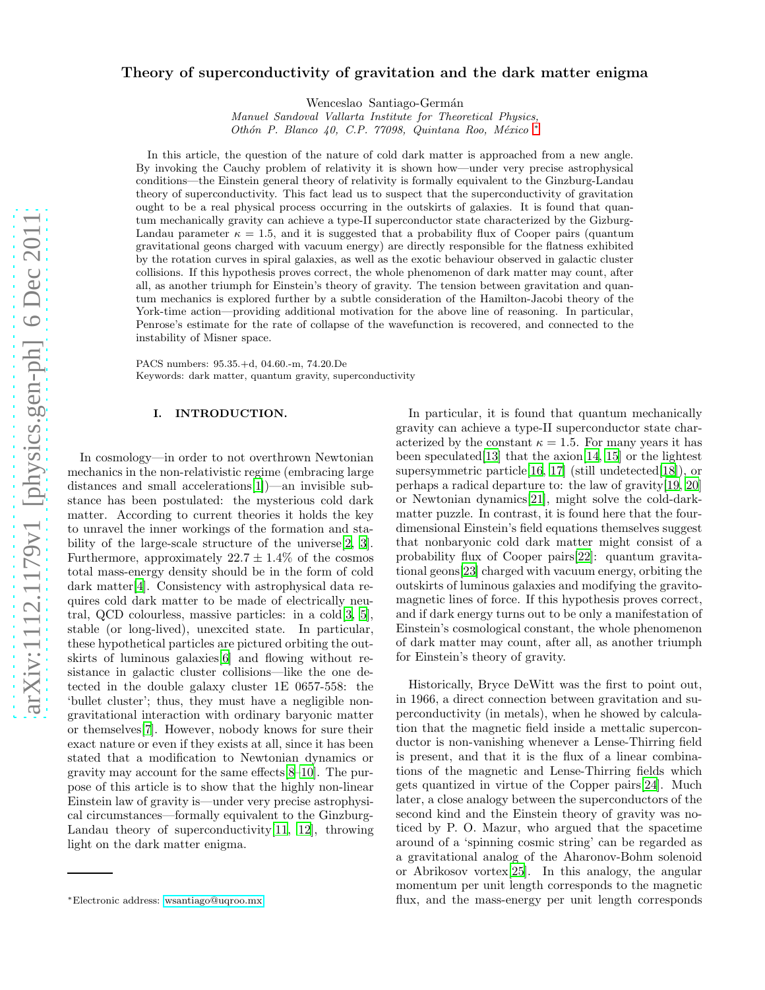# Theory of superconductivity of gravitation and the dark matter enigma

Wenceslao Santiago-Germán

*Manuel Sandoval Vallarta Institute for Theoretical Physics, Oth´on P. Blanco 40, C.P. 77098, Quintana Roo, M´exico* [∗](#page-0-0)

In this article, the question of the nature of cold dark matter is approached from a new angle. By invoking the Cauchy problem of relativity it is shown how—under very precise astrophysical conditions—the Einstein general theory of relativity is formally equivalent to the Ginzburg-Landau theory of superconductivity. This fact lead us to suspect that the superconductivity of gravitation ought to be a real physical process occurring in the outskirts of galaxies. It is found that quantum mechanically gravity can achieve a type-II superconductor state characterized by the Gizburg-Landau parameter  $\kappa = 1.5$ , and it is suggested that a probability flux of Cooper pairs (quantum gravitational geons charged with vacuum energy) are directly responsible for the flatness exhibited by the rotation curves in spiral galaxies, as well as the exotic behaviour observed in galactic cluster collisions. If this hypothesis proves correct, the whole phenomenon of dark matter may count, after all, as another triumph for Einstein's theory of gravity. The tension between gravitation and quantum mechanics is explored further by a subtle consideration of the Hamilton-Jacobi theory of the York-time action—providing additional motivation for the above line of reasoning. In particular, Penrose's estimate for the rate of collapse of the wavefunction is recovered, and connected to the instability of Misner space.

PACS numbers: 95.35.+d, 04.60.-m, 74.20.De Keywords: dark matter, quantum gravity, superconductivity

## I. INTRODUCTION.

In cosmology—in order to not overthrown Newtonian mechanics in the non-relativistic regime (embracing large distances and small accelerations[\[1](#page-13-0)])—an invisible substance has been postulated: the mysterious cold dark matter. According to current theories it holds the key to unravel the inner workings of the formation and stability of the large-scale structure of the universe[\[2](#page-13-1), [3\]](#page-13-2). Furthermore, approximately  $22.7 \pm 1.4\%$  of the cosmos total mass-energy density should be in the form of cold dark matter[\[4\]](#page-13-3). Consistency with astrophysical data requires cold dark matter to be made of electrically neutral, QCD colourless, massive particles: in a cold[\[3,](#page-13-2) [5\]](#page-13-4), stable (or long-lived), unexcited state. In particular, these hypothetical particles are pictured orbiting the outskirts of luminous galaxies[\[6\]](#page-13-5) and flowing without resistance in galactic cluster collisions—like the one detected in the double galaxy cluster 1E 0657-558: the 'bullet cluster'; thus, they must have a negligible nongravitational interaction with ordinary baryonic matter or themselves[\[7\]](#page-13-6). However, nobody knows for sure their exact nature or even if they exists at all, since it has been stated that a modification to Newtonian dynamics or gravity may account for the same effects[\[8](#page-13-7)[–10\]](#page-13-8). The purpose of this article is to show that the highly non-linear Einstein law of gravity is—under very precise astrophysical circumstances—formally equivalent to the Ginzburg-Landau theory of superconductivity[\[11](#page-13-9), [12\]](#page-13-10), throwing light on the dark matter enigma.

In particular, it is found that quantum mechanically gravity can achieve a type-II superconductor state characterized by the constant  $\kappa = 1.5$ . For many years it has been speculated [\[13\]](#page-13-11) that the  $axion[14, 15]$  $axion[14, 15]$  $axion[14, 15]$  $axion[14, 15]$  or the lightest supersymmetric particle  $[16, 17]$  $[16, 17]$  (still undetected  $[18]$  $[18]$ ), or perhaps a radical departure to: the law of gravity[\[19,](#page-13-17) [20](#page-13-18)] or Newtonian dynamics[\[21\]](#page-13-19), might solve the cold-darkmatter puzzle. In contrast, it is found here that the fourdimensional Einstein's field equations themselves suggest that nonbaryonic cold dark matter might consist of a probability flux of Cooper pairs[\[22\]](#page-13-20): quantum gravitational geons[\[23\]](#page-13-21) charged with vacuum energy, orbiting the outskirts of luminous galaxies and modifying the gravitomagnetic lines of force. If this hypothesis proves correct, and if dark energy turns out to be only a manifestation of Einstein's cosmological constant, the whole phenomenon of dark matter may count, after all, as another triumph for Einstein's theory of gravity.

Historically, Bryce DeWitt was the first to point out, in 1966, a direct connection between gravitation and superconductivity (in metals), when he showed by calculation that the magnetic field inside a mettalic superconductor is non-vanishing whenever a Lense-Thirring field is present, and that it is the flux of a linear combinations of the magnetic and Lense-Thirring fields which gets quantized in virtue of the Copper pairs[\[24\]](#page-13-22). Much later, a close analogy between the superconductors of the second kind and the Einstein theory of gravity was noticed by P. O. Mazur, who argued that the spacetime around of a 'spinning cosmic string' can be regarded as a gravitational analog of the Aharonov-Bohm solenoid or Abrikosov vortex[\[25\]](#page-13-23). In this analogy, the angular momentum per unit length corresponds to the magnetic flux, and the mass-energy per unit length corresponds

<span id="page-0-0"></span><sup>∗</sup>Electronic address: [wsantiago@uqroo.mx](mailto:wsantiago@uqroo.mx)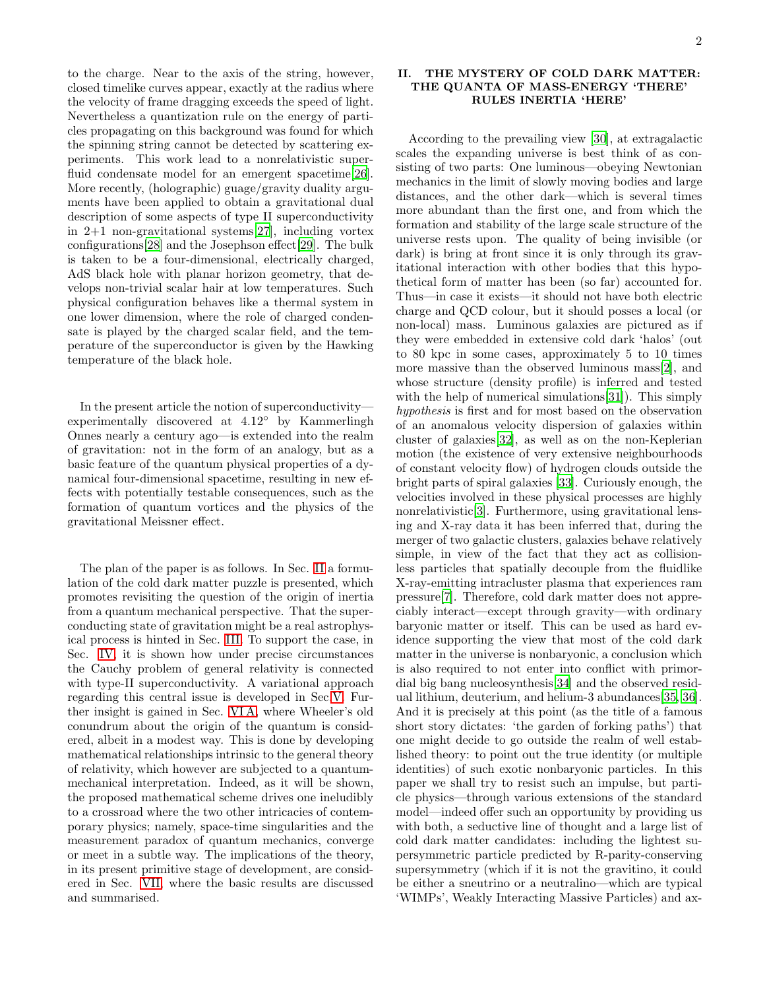to the charge. Near to the axis of the string, however, closed timelike curves appear, exactly at the radius where the velocity of frame dragging exceeds the speed of light. Nevertheless a quantization rule on the energy of particles propagating on this background was found for which the spinning string cannot be detected by scattering experiments. This work lead to a nonrelativistic super-fluid condensate model for an emergent spacetime[\[26\]](#page-13-24). More recently, (holographic) guage/gravity duality arguments have been applied to obtain a gravitational dual description of some aspects of type II superconductivity in 2+1 non-gravitational systems[\[27\]](#page-13-25), including vortex configurations[\[28\]](#page-13-26) and the Josephson effect[\[29\]](#page-13-27). The bulk is taken to be a four-dimensional, electrically charged, AdS black hole with planar horizon geometry, that develops non-trivial scalar hair at low temperatures. Such physical configuration behaves like a thermal system in one lower dimension, where the role of charged condensate is played by the charged scalar field, and the temperature of the superconductor is given by the Hawking temperature of the black hole.

In the present article the notion of superconductivity experimentally discovered at 4.12◦ by Kammerlingh Onnes nearly a century ago—is extended into the realm of gravitation: not in the form of an analogy, but as a basic feature of the quantum physical properties of a dynamical four-dimensional spacetime, resulting in new effects with potentially testable consequences, such as the formation of quantum vortices and the physics of the gravitational Meissner effect.

The plan of the paper is as follows. In Sec. [II](#page-1-0) a formulation of the cold dark matter puzzle is presented, which promotes revisiting the question of the origin of inertia from a quantum mechanical perspective. That the superconducting state of gravitation might be a real astrophysical process is hinted in Sec. [III.](#page-2-0) To support the case, in Sec. [IV,](#page-3-0) it is shown how under precise circumstances the Cauchy problem of general relativity is connected with type-II superconductivity. A variational approach regarding this central issue is developed in Sec[.V.](#page-4-0) Further insight is gained in Sec. [VI A,](#page-7-0) where Wheeler's old conundrum about the origin of the quantum is considered, albeit in a modest way. This is done by developing mathematical relationships intrinsic to the general theory of relativity, which however are subjected to a quantummechanical interpretation. Indeed, as it will be shown, the proposed mathematical scheme drives one ineludibly to a crossroad where the two other intricacies of contemporary physics; namely, space-time singularities and the measurement paradox of quantum mechanics, converge or meet in a subtle way. The implications of the theory, in its present primitive stage of development, are considered in Sec. [VII,](#page-11-0) where the basic results are discussed and summarised.

# <span id="page-1-0"></span>II. THE MYSTERY OF COLD DARK MATTER: THE QUANTA OF MASS-ENERGY 'THERE' RULES INERTIA 'HERE'

According to the prevailing view [\[30](#page-13-28)], at extragalactic scales the expanding universe is best think of as consisting of two parts: One luminous—obeying Newtonian mechanics in the limit of slowly moving bodies and large distances, and the other dark—which is several times more abundant than the first one, and from which the formation and stability of the large scale structure of the universe rests upon. The quality of being invisible (or dark) is bring at front since it is only through its gravitational interaction with other bodies that this hypothetical form of matter has been (so far) accounted for. Thus—in case it exists—it should not have both electric charge and QCD colour, but it should posses a local (or non-local) mass. Luminous galaxies are pictured as if they were embedded in extensive cold dark 'halos' (out to 80 kpc in some cases, approximately 5 to 10 times more massive than the observed luminous mass[\[2](#page-13-1)], and whose structure (density profile) is inferred and tested with the help of numerical simulations [\[31](#page-13-29)]). This simply hypothesis is first and for most based on the observation of an anomalous velocity dispersion of galaxies within cluster of galaxies[\[32\]](#page-13-30), as well as on the non-Keplerian motion (the existence of very extensive neighbourhoods of constant velocity flow) of hydrogen clouds outside the bright parts of spiral galaxies [\[33\]](#page-13-31). Curiously enough, the velocities involved in these physical processes are highly nonrelativistic[\[3\]](#page-13-2). Furthermore, using gravitational lensing and X-ray data it has been inferred that, during the merger of two galactic clusters, galaxies behave relatively simple, in view of the fact that they act as collisionless particles that spatially decouple from the fluidlike X-ray-emitting intracluster plasma that experiences ram pressure[\[7\]](#page-13-6). Therefore, cold dark matter does not appreciably interact—except through gravity—with ordinary baryonic matter or itself. This can be used as hard evidence supporting the view that most of the cold dark matter in the universe is nonbaryonic, a conclusion which is also required to not enter into conflict with primordial big bang nucleosynthesis[\[34\]](#page-13-32) and the observed residual lithium, deuterium, and helium-3 abundances[\[35,](#page-13-33) [36\]](#page-14-0). And it is precisely at this point (as the title of a famous short story dictates: 'the garden of forking paths') that one might decide to go outside the realm of well established theory: to point out the true identity (or multiple identities) of such exotic nonbaryonic particles. In this paper we shall try to resist such an impulse, but particle physics—through various extensions of the standard model—indeed offer such an opportunity by providing us with both, a seductive line of thought and a large list of cold dark matter candidates: including the lightest supersymmetric particle predicted by R-parity-conserving supersymmetry (which if it is not the gravitino, it could be either a sneutrino or a neutralino—which are typical 'WIMPs', Weakly Interacting Massive Particles) and ax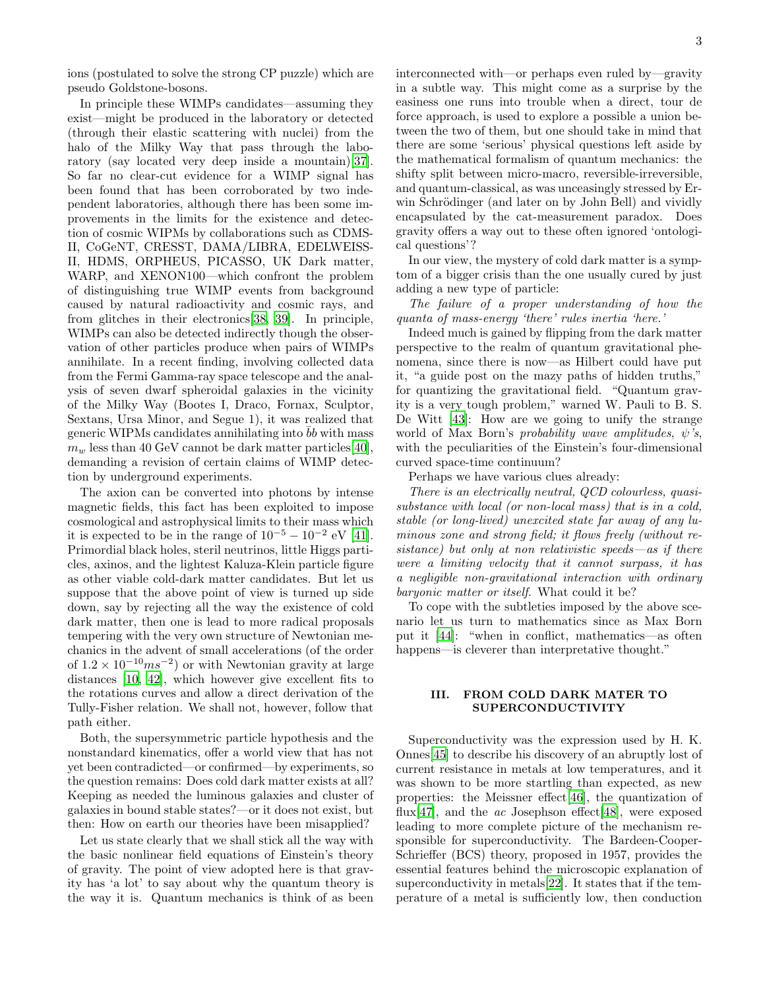ions (postulated to solve the strong CP puzzle) which are pseudo Goldstone-bosons.

In principle these WIMPs candidates—assuming they exist—might be produced in the laboratory or detected (through their elastic scattering with nuclei) from the halo of the Milky Way that pass through the laboratory (say located very deep inside a mountain)[\[37\]](#page-14-1). So far no clear-cut evidence for a WIMP signal has been found that has been corroborated by two independent laboratories, although there has been some improvements in the limits for the existence and detection of cosmic WIPMs by collaborations such as CDMS-II, CoGeNT, CRESST, DAMA/LIBRA, EDELWEISS-II, HDMS, ORPHEUS, PICASSO, UK Dark matter, WARP, and XENON100—which confront the problem of distinguishing true WIMP events from background caused by natural radioactivity and cosmic rays, and from glitches in their electronics[\[38,](#page-14-2) [39\]](#page-14-3). In principle, WIMPs can also be detected indirectly though the observation of other particles produce when pairs of WIMPs annihilate. In a recent finding, involving collected data from the Fermi Gamma-ray space telescope and the analysis of seven dwarf spheroidal galaxies in the vicinity of the Milky Way (Bootes I, Draco, Fornax, Sculptor, Sextans, Ursa Minor, and Segue 1), it was realized that generic WIPMs candidates annihilating into bb with mass  $m_w$  less than 40 GeV cannot be dark matter particles [\[40\]](#page-14-4), demanding a revision of certain claims of WIMP detection by underground experiments.

The axion can be converted into photons by intense magnetic fields, this fact has been exploited to impose cosmological and astrophysical limits to their mass which it is expected to be in the range of  $10^{-5} - 10^{-2}$  eV [\[41\]](#page-14-5). Primordial black holes, steril neutrinos, little Higgs particles, axinos, and the lightest Kaluza-Klein particle figure as other viable cold-dark matter candidates. But let us suppose that the above point of view is turned up side down, say by rejecting all the way the existence of cold dark matter, then one is lead to more radical proposals tempering with the very own structure of Newtonian mechanics in the advent of small accelerations (of the order of  $1.2 \times 10^{-10}$  ms<sup>-2</sup>) or with Newtonian gravity at large distances [\[10,](#page-13-8) [42](#page-14-6)], which however give excellent fits to the rotations curves and allow a direct derivation of the Tully-Fisher relation. We shall not, however, follow that path either.

Both, the supersymmetric particle hypothesis and the nonstandard kinematics, offer a world view that has not yet been contradicted—or confirmed—by experiments, so the question remains: Does cold dark matter exists at all? Keeping as needed the luminous galaxies and cluster of galaxies in bound stable states?—or it does not exist, but then: How on earth our theories have been misapplied?

Let us state clearly that we shall stick all the way with the basic nonlinear field equations of Einstein's theory of gravity. The point of view adopted here is that gravity has 'a lot' to say about why the quantum theory is the way it is. Quantum mechanics is think of as been interconnected with—or perhaps even ruled by—gravity in a subtle way. This might come as a surprise by the easiness one runs into trouble when a direct, tour de force approach, is used to explore a possible a union between the two of them, but one should take in mind that there are some 'serious' physical questions left aside by the mathematical formalism of quantum mechanics: the shifty split between micro-macro, reversible-irreversible, and quantum-classical, as was unceasingly stressed by Erwin Schrödinger (and later on by John Bell) and vividly encapsulated by the cat-measurement paradox. Does gravity offers a way out to these often ignored 'ontological questions'?

In our view, the mystery of cold dark matter is a symptom of a bigger crisis than the one usually cured by just adding a new type of particle:

The failure of a proper understanding of how the quanta of mass-energy 'there' rules inertia 'here.'

Indeed much is gained by flipping from the dark matter perspective to the realm of quantum gravitational phenomena, since there is now—as Hilbert could have put it, "a guide post on the mazy paths of hidden truths," for quantizing the gravitational field. "Quantum gravity is a very tough problem," warned W. Pauli to B. S. De Witt [\[43](#page-14-7)]: How are we going to unify the strange world of Max Born's probability wave amplitudes,  $\psi$ 's, with the peculiarities of the Einstein's four-dimensional curved space-time continuum?

Perhaps we have various clues already:

There is an electrically neutral, QCD colourless, quasisubstance with local (or non-local mass) that is in a cold, stable (or long-lived) unexcited state far away of any luminous zone and strong field; it flows freely (without resistance) but only at non relativistic speeds—as if there were a limiting velocity that it cannot surpass, it has a negligible non-gravitational interaction with ordinary baryonic matter or itself. What could it be?

To cope with the subtleties imposed by the above scenario let us turn to mathematics since as Max Born put it [\[44\]](#page-14-8): "when in conflict, mathematics—as often happens—is cleverer than interpretative thought."

## <span id="page-2-0"></span>III. FROM COLD DARK MATER TO SUPERCONDUCTIVITY

Superconductivity was the expression used by H. K. Onnes[\[45\]](#page-14-9) to describe his discovery of an abruptly lost of current resistance in metals at low temperatures, and it was shown to be more startling than expected, as new properties: the Meissner effect[\[46\]](#page-14-10), the quantization of flux<sup>[\[47](#page-14-11)]</sup>, and the *ac* Josephson effect<sup>[\[48](#page-14-12)]</sup>, were exposed leading to more complete picture of the mechanism responsible for superconductivity. The Bardeen-Cooper-Schrieffer (BCS) theory, proposed in 1957, provides the essential features behind the microscopic explanation of superconductivity in metals[\[22](#page-13-20)]. It states that if the temperature of a metal is sufficiently low, then conduction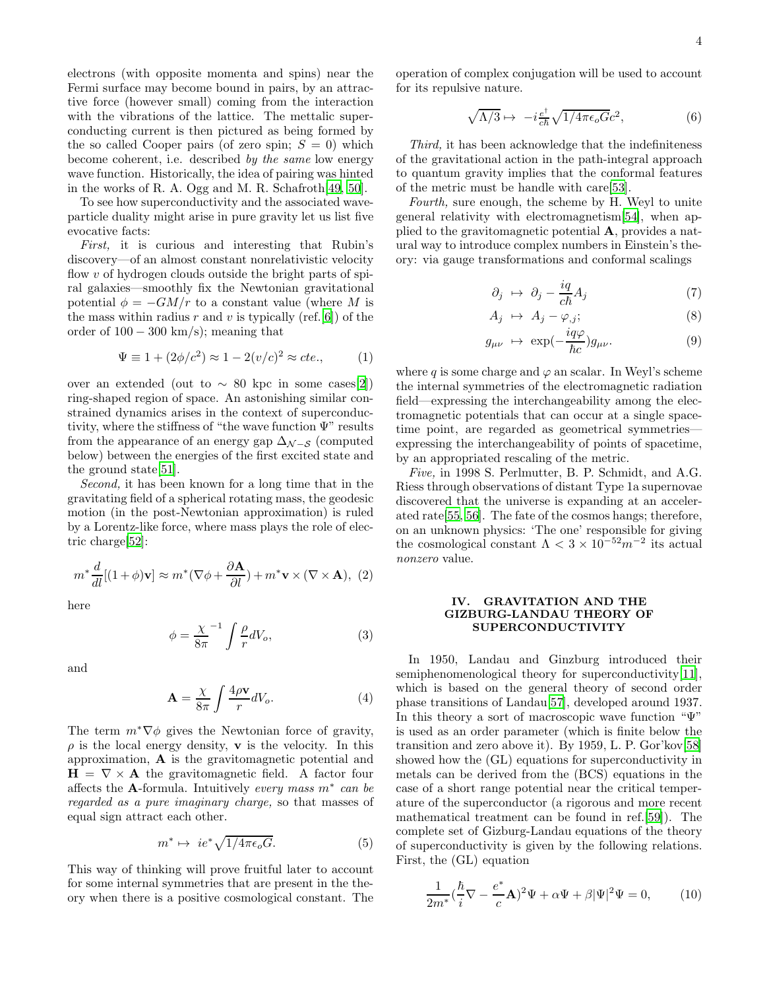electrons (with opposite momenta and spins) near the Fermi surface may become bound in pairs, by an attractive force (however small) coming from the interaction with the vibrations of the lattice. The mettalic superconducting current is then pictured as being formed by the so called Cooper pairs (of zero spin;  $S = 0$ ) which become coherent, i.e. described by the same low energy wave function. Historically, the idea of pairing was hinted in the works of R. A. Ogg and M. R. Schafroth[\[49,](#page-14-13) [50\]](#page-14-14).

To see how superconductivity and the associated waveparticle duality might arise in pure gravity let us list five evocative facts:

First, it is curious and interesting that Rubin's discovery—of an almost constant nonrelativistic velocity flow  $v$  of hydrogen clouds outside the bright parts of spiral galaxies—smoothly fix the Newtonian gravitational potential  $\phi = -GM/r$  to a constant value (where M is the mass within radius r and v is typically (ref. [\[6\]](#page-13-5)) of the order of  $100 - 300$  km/s); meaning that

$$
\Psi \equiv 1 + (2\phi/c^2) \approx 1 - 2(v/c)^2 \approx cte.,\tag{1}
$$

over an extended (out to  $\sim 80$  kpc in some cases[\[2\]](#page-13-1)) ring-shaped region of space. An astonishing similar constrained dynamics arises in the context of superconductivity, where the stiffness of "the wave function  $\Psi$ " results from the appearance of an energy gap  $\Delta_{N-S}$  (computed below) between the energies of the first excited state and the ground state[\[51\]](#page-14-15).

Second, it has been known for a long time that in the gravitating field of a spherical rotating mass, the geodesic motion (in the post-Newtonian approximation) is ruled by a Lorentz-like force, where mass plays the role of electric charge[\[52](#page-14-16)]:

$$
m^* \frac{d}{dl} [(1+\phi)\mathbf{v}] \approx m^* (\nabla \phi + \frac{\partial \mathbf{A}}{\partial l}) + m^* \mathbf{v} \times (\nabla \times \mathbf{A}), (2)
$$

here

$$
\phi = \frac{\chi}{8\pi}^{-1} \int \frac{\rho}{r} dV_o,\tag{3}
$$

and

$$
\mathbf{A} = \frac{\chi}{8\pi} \int \frac{4\rho \mathbf{v}}{r} dV_o.
$$
 (4)

The term  $m^*\nabla\phi$  gives the Newtonian force of gravity,  $\rho$  is the local energy density, **v** is the velocity. In this approximation, A is the gravitomagnetic potential and  $H = \nabla \times A$  the gravitomagnetic field. A factor four affects the A-formula. Intuitively every mass  $m^*$  can be regarded as a pure imaginary charge, so that masses of equal sign attract each other.

$$
m^* \mapsto ie^* \sqrt{1/4\pi\epsilon_o G}.\tag{5}
$$

This way of thinking will prove fruitful later to account for some internal symmetries that are present in the theory when there is a positive cosmological constant. The

operation of complex conjugation will be used to account for its repulsive nature.

$$
\sqrt{\Lambda/3} \mapsto -i \frac{e^{\dagger}}{c\hbar} \sqrt{1/4\pi \epsilon_o G} c^2,\tag{6}
$$

Third, it has been acknowledge that the indefiniteness of the gravitational action in the path-integral approach to quantum gravity implies that the conformal features of the metric must be handle with care[\[53](#page-14-17)].

Fourth, sure enough, the scheme by H. Weyl to unite general relativity with electromagnetism[\[54\]](#page-14-18), when applied to the gravitomagnetic potential A, provides a natural way to introduce complex numbers in Einstein's theory: via gauge transformations and conformal scalings

$$
\partial_j \ \mapsto \ \partial_j - \frac{iq}{c\hbar} A_j \tag{7}
$$

$$
A_j \ \mapsto \ A_j - \varphi_{,j}; \tag{8}
$$

$$
g_{\mu\nu} \ \mapsto \ \exp(-\frac{i q \varphi}{\hbar c}) g_{\mu\nu}.\tag{9}
$$

where q is some charge and  $\varphi$  an scalar. In Weyl's scheme the internal symmetries of the electromagnetic radiation field—expressing the interchangeability among the electromagnetic potentials that can occur at a single spacetime point, are regarded as geometrical symmetries expressing the interchangeability of points of spacetime, by an appropriated rescaling of the metric.

Five, in 1998 S. Perlmutter, B. P. Schmidt, and A.G. Riess through observations of distant Type 1a supernovae discovered that the universe is expanding at an accelerated rate[\[55](#page-14-19), [56](#page-14-20)]. The fate of the cosmos hangs; therefore, on an unknown physics: 'The one' responsible for giving the cosmological constant  $\Lambda < 3 \times 10^{-52} m^{-2}$  its actual nonzero value.

### <span id="page-3-0"></span>IV. GRAVITATION AND THE GIZBURG-LANDAU THEORY OF SUPERCONDUCTIVITY

In 1950, Landau and Ginzburg introduced their semiphenomenological theory for superconductivity[\[11\]](#page-13-9), which is based on the general theory of second order phase transitions of Landau[\[57\]](#page-14-21), developed around 1937. In this theory a sort of macroscopic wave function "Ψ" is used as an order parameter (which is finite below the transition and zero above it). By 1959, L. P. Gor'kov[\[58\]](#page-14-22) showed how the (GL) equations for superconductivity in metals can be derived from the (BCS) equations in the case of a short range potential near the critical temperature of the superconductor (a rigorous and more recent mathematical treatment can be found in ref.[\[59\]](#page-14-23)). The complete set of Gizburg-Landau equations of the theory of superconductivity is given by the following relations. First, the (GL) equation

<span id="page-3-1"></span>
$$
\frac{1}{2m^*}(\frac{\hbar}{i}\nabla - \frac{e^*}{c}\mathbf{A})^2\Psi + \alpha\Psi + \beta|\Psi|^2\Psi = 0, \qquad (10)
$$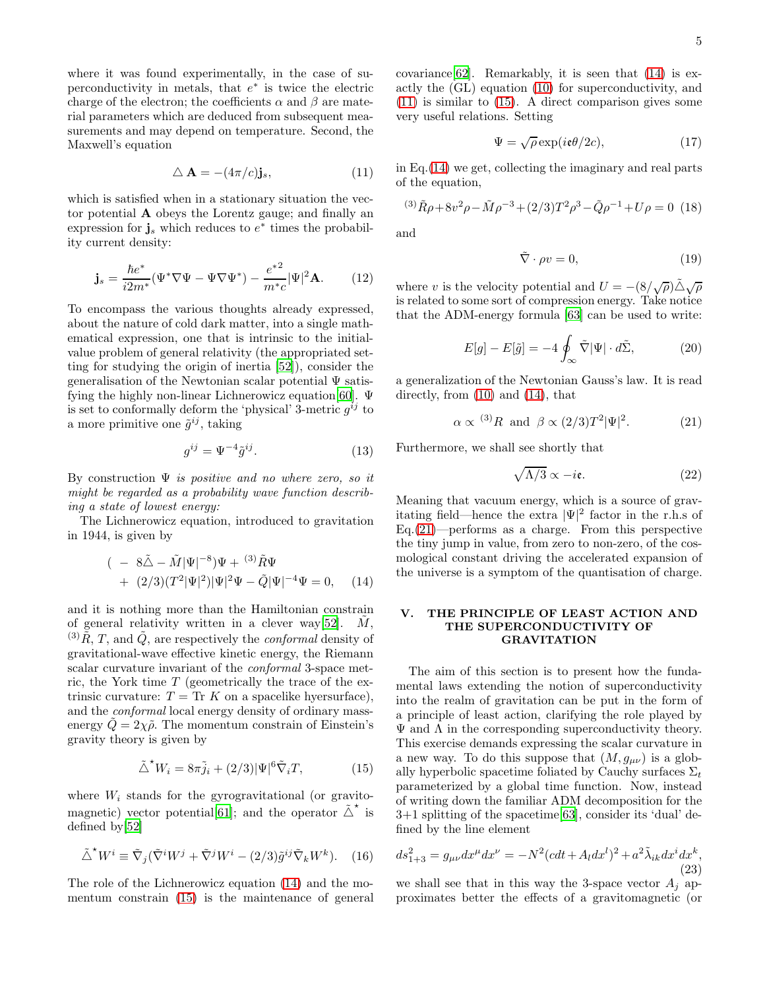where it was found experimentally, in the case of superconductivity in metals, that  $e^*$  is twice the electric charge of the electron; the coefficients  $\alpha$  and  $\beta$  are material parameters which are deduced from subsequent measurements and may depend on temperature. Second, the Maxwell's equation

<span id="page-4-3"></span>
$$
\Delta \mathbf{A} = -(4\pi/c)\mathbf{j}_s,\tag{11}
$$

which is satisfied when in a stationary situation the vector potential A obeys the Lorentz gauge; and finally an expression for  $\mathbf{j}_s$  which reduces to  $e^*$  times the probability current density:

$$
\mathbf{j}_s = \frac{\hbar e^*}{i2m^*} (\Psi^* \nabla \Psi - \Psi \nabla \Psi^*) - \frac{e^{*2}}{m^*c} |\Psi|^2 \mathbf{A}.
$$
 (12)

To encompass the various thoughts already expressed, about the nature of cold dark matter, into a single mathematical expression, one that is intrinsic to the initialvalue problem of general relativity (the appropriated setting for studying the origin of inertia [\[52](#page-14-16)]), consider the generalisation of the Newtonian scalar potential Ψ satisfying the highly non-linear Lichnerowicz equation[\[60\]](#page-14-24). Ψ is set to conformally deform the 'physical' 3-metric  $g^{ij}$  to a more primitive one  $\tilde{g}^{ij}$ , taking

$$
g^{ij} = \Psi^{-4} \tilde{g}^{ij}.
$$
 (13)

By construction  $\Psi$  is positive and no where zero, so it might be regarded as a probability wave function describing a state of lowest energy:

The Lichnerowicz equation, introduced to gravitation in 1944, is given by

<span id="page-4-1"></span>
$$
(-8\tilde{\Delta} - \tilde{M}|\Psi|^{-8})\Psi + {}^{(3)}\tilde{R}\Psi + (2/3)(T^{2}|\Psi|^{2})|\Psi|^{2}\Psi - \tilde{Q}|\Psi|^{-4}\Psi = 0, \quad (14)
$$

and it is nothing more than the Hamiltonian constrain of general relativity written in a clever way [\[52\]](#page-14-16).  $M$ , <sup>(3)</sup> $\tilde{R}$ , *T*, and  $\tilde{Q}$ , are respectively the *conformal* density of gravitational-wave effective kinetic energy, the Riemann scalar curvature invariant of the conformal 3-space metric, the York time  $T$  (geometrically the trace of the extrinsic curvature:  $T = \text{Tr } K$  on a spacelike hyersurface), and the conformal local energy density of ordinary massenergy  $Q = 2\chi \tilde{\rho}$ . The momentum constrain of Einstein's gravity theory is given by

<span id="page-4-2"></span>
$$
\tilde{\triangle}^{\star} W_i = 8\pi \tilde{j}_i + (2/3)|\Psi|^6 \tilde{\nabla}_i T, \tag{15}
$$

where  $W_i$  stands for the gyrogravitational (or gravito-magnetic) vector potential[\[61](#page-14-25)]; and the operator  $\tilde{\triangle}^*$  is defined by[\[52\]](#page-14-16)

$$
\tilde{\triangle}^{\star} W^i \equiv \tilde{\nabla}_j (\tilde{\nabla}^i W^j + \tilde{\nabla}^j W^i - (2/3) \tilde{g}^{ij} \tilde{\nabla}_k W^k).
$$
 (16)

The role of the Lichnerowicz equation [\(14\)](#page-4-1) and the momentum constrain [\(15\)](#page-4-2) is the maintenance of general covariance [\[62\]](#page-14-26). Remarkably, it is seen that  $(14)$  is exactly the (GL) equation [\(10\)](#page-3-1) for superconductivity, and [\(11\)](#page-4-3) is similar to [\(15\)](#page-4-2). A direct comparison gives some very useful relations. Setting

$$
\Psi = \sqrt{\rho} \exp(i\epsilon \theta/2c),\tag{17}
$$

in Eq.[\(14\)](#page-4-1) we get, collecting the imaginary and real parts of the equation,

$$
^{(3)}\tilde{R}\rho + 8v^2\rho - \tilde{M}\rho^{-3} + (2/3)T^2\rho^3 - \tilde{Q}\rho^{-1} + U\rho = 0
$$
 (18)

and

$$
\tilde{\nabla} \cdot \rho v = 0,\tag{19}
$$

where v is the velocity potential and  $U = -(8/\sqrt{\rho})\tilde{\triangle}\sqrt{\rho}$ is related to some sort of compression energy. Take notice that the ADM-energy formula [\[63\]](#page-14-27) can be used to write:

$$
E[g] - E[\tilde{g}] = -4 \oint_{\infty} \tilde{\nabla} |\Psi| \cdot d\tilde{\Sigma}, \qquad (20)
$$

a generalization of the Newtonian Gauss's law. It is read directly, from [\(10\)](#page-3-1) and [\(14\)](#page-4-1), that

<span id="page-4-4"></span>
$$
\alpha \propto {}^{(3)}R
$$
 and  $\beta \propto (2/3)T^2 |\Psi|^2$ . (21)

Furthermore, we shall see shortly that

$$
\sqrt{\Lambda/3} \propto -i\mathfrak{e}.\tag{22}
$$

Meaning that vacuum energy, which is a source of gravitating field—hence the extra  $|\Psi|^2$  factor in the r.h.s of  $Eq.(21)$  $Eq.(21)$ —performs as a charge. From this perspective the tiny jump in value, from zero to non-zero, of the cosmological constant driving the accelerated expansion of the universe is a symptom of the quantisation of charge.

## <span id="page-4-0"></span>V. THE PRINCIPLE OF LEAST ACTION AND THE SUPERCONDUCTIVITY OF GRAVITATION

The aim of this section is to present how the fundamental laws extending the notion of superconductivity into the realm of gravitation can be put in the form of a principle of least action, clarifying the role played by  $\Psi$  and  $\Lambda$  in the corresponding superconductivity theory. This exercise demands expressing the scalar curvature in a new way. To do this suppose that  $(M, g_{\mu\nu})$  is a globally hyperbolic spacetime foliated by Cauchy surfaces  $\Sigma_t$ parameterized by a global time function. Now, instead of writing down the familiar ADM decomposition for the 3+1 splitting of the spacetime[\[63\]](#page-14-27), consider its 'dual' defined by the line element

<span id="page-4-5"></span>
$$
ds_{1+3}^2 = g_{\mu\nu} dx^{\mu} dx^{\nu} = -N^2 (cdt + A_l dx^l)^2 + a^2 \tilde{\lambda}_{ik} dx^i dx^k,
$$
\n(23)

we shall see that in this way the 3-space vector  $A_i$  approximates better the effects of a gravitomagnetic (or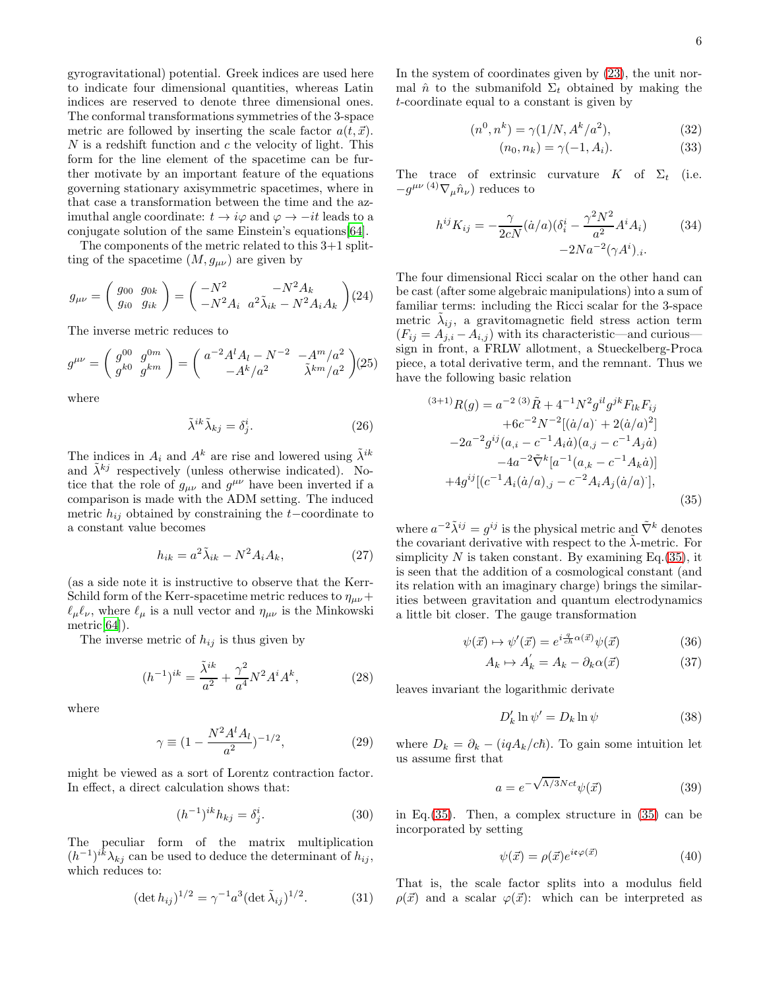gyrogravitational) potential. Greek indices are used here to indicate four dimensional quantities, whereas Latin indices are reserved to denote three dimensional ones. The conformal transformations symmetries of the 3-space metric are followed by inserting the scale factor  $a(t, \vec{x})$ .  $N$  is a redshift function and  $c$  the velocity of light. This form for the line element of the spacetime can be further motivate by an important feature of the equations governing stationary axisymmetric spacetimes, where in that case a transformation between the time and the azimuthal angle coordinate:  $t \to i\varphi$  and  $\varphi \to -it$  leads to a conjugate solution of the same Einstein's equations[\[64\]](#page-14-28).

The components of the metric related to this 3+1 splitting of the spacetime  $(M, g_{\mu\nu})$  are given by

$$
g_{\mu\nu} = \left(\begin{array}{cc} g_{00} & g_{0k} \\ g_{i0} & g_{ik} \end{array}\right) = \left(\begin{array}{cc} -N^2 & -N^2 A_k \\ -N^2 A_i & a^2 \tilde{\lambda}_{ik} - N^2 A_i A_k \end{array}\right) (24)
$$

The inverse metric reduces to

$$
g^{\mu\nu} = \left(\begin{array}{c} g^{00} & g^{0m} \\ g^{k0} & g^{km} \end{array}\right) = \left(\begin{array}{cc} a^{-2}A^l A_l - N^{-2} & -A^m/a^2 \\ -A^k/a^2 & \tilde{\lambda}^{km}/a^2 \end{array}\right) (25)
$$

where

$$
\tilde{\lambda}^{ik}\tilde{\lambda}_{kj} = \delta^i_j. \tag{26}
$$

The indices in  $A_i$  and  $A^k$  are rise and lowered using  $\tilde{\lambda}^{ik}$ and  $\tilde{\lambda}^{kj}$  respectively (unless otherwise indicated). Notice that the role of  $g_{\mu\nu}$  and  $g^{\mu\nu}$  have been inverted if a comparison is made with the ADM setting. The induced metric  $h_{ij}$  obtained by constraining the t−coordinate to a constant value becomes

$$
h_{ik} = a^2 \tilde{\lambda}_{ik} - N^2 A_i A_k, \qquad (27)
$$

(as a side note it is instructive to observe that the Kerr-Schild form of the Kerr-spacetime metric reduces to  $\eta_{\mu\nu}+$  $\ell_{\mu}\ell_{\nu}$ , where  $\ell_{\mu}$  is a null vector and  $\eta_{\mu\nu}$  is the Minkowski metric[\[64\]](#page-14-28)).

The inverse metric of  $h_{ij}$  is thus given by

$$
(h^{-1})^{ik} = \frac{\tilde{\lambda}^{ik}}{a^2} + \frac{\gamma^2}{a^4} N^2 A^i A^k, \qquad (28)
$$

where

$$
\gamma \equiv (1 - \frac{N^2 A^l A_l}{a^2})^{-1/2},\tag{29}
$$

might be viewed as a sort of Lorentz contraction factor. In effect, a direct calculation shows that:

$$
(h^{-1})^{ik}h_{kj} = \delta_j^i. \tag{30}
$$

The peculiar form of the matrix multiplication  $(h^{-1})^{ik}\lambda_{kj}$  can be used to deduce the determinant of  $h_{ij}$ , which reduces to:

<span id="page-5-3"></span>
$$
(\det h_{ij})^{1/2} = \gamma^{-1} a^3 (\det \tilde{\lambda}_{ij})^{1/2}.
$$
 (31)

In the system of coordinates given by [\(23\)](#page-4-5), the unit normal  $\hat{n}$  to the submanifold  $\Sigma_t$  obtained by making the t-coordinate equal to a constant is given by

$$
(n^0, n^k) = \gamma(1/N, A^k/a^2), \tag{32}
$$

$$
(n_0, n_k) = \gamma(-1, A_i). \tag{33}
$$

The trace of extrinsic curvature K of  $\Sigma_t$  (i.e.  $-g^{\mu\nu\,(4)}\nabla_{\mu}\hat{n}_{\nu}$ ) reduces to

<span id="page-5-4"></span>
$$
h^{ij}K_{ij} = -\frac{\gamma}{2cN}(\dot{a}/a)(\delta_i^i - \frac{\gamma^2 N^2}{a^2}A^i A_i)
$$
(34)  
-2Na<sup>-2</sup>( $\gamma A^i$ )<sub>.i</sub>.

The four dimensional Ricci scalar on the other hand can be cast (after some algebraic manipulations) into a sum of familiar terms: including the Ricci scalar for the 3-space metric  $\tilde{\lambda}_{ij}$ , a gravitomagnetic field stress action term  $(F_{ij} = A_{j,i} - A_{i,j})$  with its characteristic—and curious sign in front, a FRLW allotment, a Stueckelberg-Proca piece, a total derivative term, and the remnant. Thus we have the following basic relation

<span id="page-5-0"></span>
$$
^{(3+1)}R(g) = a^{-2} {}^{(3)}\tilde{R} + 4^{-1}N^2 g^{il}g^{jk}F_{lk}F_{ij}
$$
  
+6c<sup>-2</sup>N<sup>-2</sup>[( $\dot{a}/a$ ) + 2( $\dot{a}/a$ )<sup>2</sup>]  
-2a<sup>-2</sup>g<sup>ij</sup>( $a_{,i} - c^{-1}A_i\dot{a}$ )( $a_{,j} - c^{-1}A_j\dot{a}$ )  
-4a<sup>-2</sup>Ā<sup>k</sup>[ $a^{-1}(a_{,k} - c^{-1}A_k\dot{a}$ )]  
+4g<sup>ij</sup>[( $c^{-1}A_i(\dot{a}/a)$ ) $_j - c^{-2}A_iA_j(\dot{a}/a)$ ], (35)

where  $a^{-2}\tilde{\lambda}^{ij} = g^{ij}$  is the physical metric and  $\tilde{\nabla}^k$  denotes the covariant derivative with respect to the  $\tilde{\lambda}$ -metric. For simplicity N is taken constant. By examining Eq.  $(35)$ , it is seen that the addition of a cosmological constant (and its relation with an imaginary charge) brings the similarities between gravitation and quantum electrodynamics a little bit closer. The gauge transformation

$$
\psi(\vec{x}) \mapsto \psi'(\vec{x}) = e^{i\frac{q}{c\hbar}\alpha(\vec{x})}\psi(\vec{x})\tag{36}
$$

$$
A_k \mapsto A'_k = A_k - \partial_k \alpha(\vec{x}) \tag{37}
$$

leaves invariant the logarithmic derivate

$$
D'_k \ln \psi' = D_k \ln \psi \tag{38}
$$

where  $D_k = \partial_k - (iqA_k/c\hbar)$ . To gain some intuition let us assume first that

<span id="page-5-2"></span>
$$
a = e^{-\sqrt{\Lambda/3}Nct}\psi(\vec{x})
$$
 (39)

in Eq.[\(35\)](#page-5-0). Then, a complex structure in [\(35\)](#page-5-0) can be incorporated by setting

<span id="page-5-1"></span>
$$
\psi(\vec{x}) = \rho(\vec{x})e^{i\epsilon\varphi(\vec{x})} \tag{40}
$$

That is, the scale factor splits into a modulus field  $\rho(\vec{x})$  and a scalar  $\varphi(\vec{x})$ : which can be interpreted as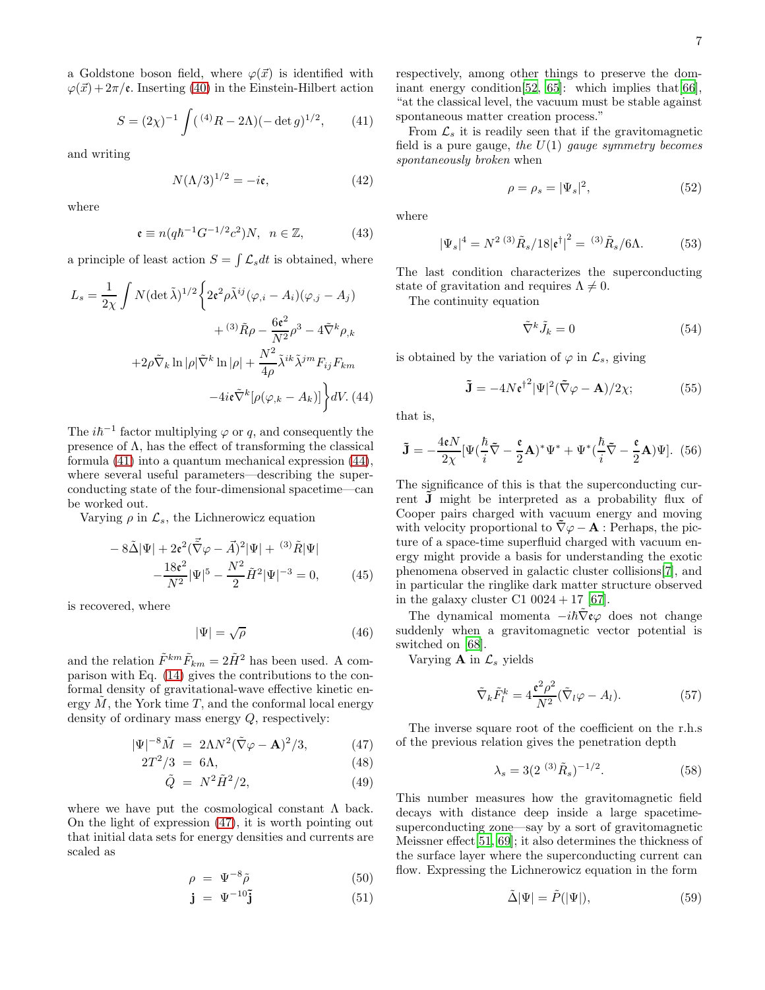a Goldstone boson field, where  $\varphi(\vec{x})$  is identified with  $\varphi(\vec{x}) + 2\pi/\mathfrak{e}$ . Inserting [\(40\)](#page-5-1) in the Einstein-Hilbert action

<span id="page-6-0"></span>
$$
S = (2\chi)^{-1} \int (^{(4)}R - 2\Lambda)(-\det g)^{1/2}, \qquad (41)
$$

and writing

$$
N(\Lambda/3)^{1/2} = -i\mathfrak{e},\tag{42}
$$

where

$$
\mathfrak{e} \equiv n(q\hbar^{-1}G^{-1/2}c^2)N, \ \ n \in \mathbb{Z}, \tag{43}
$$

a principle of least action  $S = \int \mathcal{L}_s dt$  is obtained, where

<span id="page-6-1"></span>
$$
L_s = \frac{1}{2\chi} \int N(\det \tilde{\lambda})^{1/2} \left\{ 2\epsilon^2 \rho \tilde{\lambda}^{ij} (\varphi_{,i} - A_i)(\varphi_{,j} - A_j) \right.+ (3) \tilde{R}\rho - \frac{6\epsilon^2}{N^2} \rho^3 - 4\tilde{\nabla}^k \rho_{,k} + 2\rho \tilde{\nabla}_k \ln |\rho| \tilde{\nabla}^k \ln |\rho| + \frac{N^2}{4\rho} \tilde{\lambda}^{ik} \tilde{\lambda}^{jm} F_{ij} F_{km} - 4i\epsilon \tilde{\nabla}^k [\rho(\varphi_{,k} - A_k)] \right\} dV. (44)
$$

The  $i\hbar^{-1}$  factor multiplying  $\varphi$  or q, and consequently the presence of  $\Lambda$ , has the effect of transforming the classical formula [\(41\)](#page-6-0) into a quantum mechanical expression [\(44\)](#page-6-1), where several useful parameters—describing the superconducting state of the four-dimensional spacetime—can be worked out.

Varying  $\rho$  in  $\mathcal{L}_s$ , the Lichnerowicz equation

$$
-8\tilde{\Delta}|\Psi| + 2\epsilon^2(\vec{\tilde{\nabla}}\varphi - \vec{A})^2|\Psi| + {}^{(3)}\tilde{R}|\Psi|
$$

$$
-\frac{18\epsilon^2}{N^2}|\Psi|^5 - \frac{N^2}{2}\tilde{H}^2|\Psi|^{-3} = 0,
$$
(45)

is recovered, where

$$
|\Psi| = \sqrt{\rho} \tag{46}
$$

and the relation  $\tilde{F}^{km}\tilde{F}_{km} = 2\tilde{H}^2$  has been used. A comparison with Eq. [\(14\)](#page-4-1) gives the contributions to the conformal density of gravitational-wave effective kinetic energy  $M$ , the York time  $T$ , and the conformal local energy density of ordinary mass energy Q, respectively:

<span id="page-6-2"></span>
$$
|\Psi|^{-8}\tilde{M} = 2\Lambda N^2 (\tilde{\nabla}\varphi - \mathbf{A})^2 / 3, \qquad (47)
$$

$$
2T^2/3 = 6\Lambda,\tag{48}
$$

$$
\tilde{Q} = N^2 \tilde{H}^2 / 2,\tag{49}
$$

where we have put the cosmological constant  $\Lambda$  back. On the light of expression [\(47\)](#page-6-2), it is worth pointing out that initial data sets for energy densities and currents are scaled as

$$
\rho = \Psi^{-8}\tilde{\rho} \tag{50}
$$

$$
\mathbf{j} = \Psi^{-10}\mathbf{\tilde{j}} \tag{51}
$$

respectively, among other things to preserve the dominant energy condition  $[52, 65]$  $[52, 65]$ : which implies that  $[66]$ , "at the classical level, the vacuum must be stable against spontaneous matter creation process."

From  $\mathcal{L}_s$  it is readily seen that if the gravitomagnetic field is a pure gauge, the  $U(1)$  gauge symmetry becomes spontaneously broken when

$$
\rho = \rho_s = |\Psi_s|^2,\tag{52}
$$

where

$$
|\Psi_s|^4 = N^{2 (3)} \tilde{R}_s / 18 |\mathfrak{e}^\dagger|^2 = {}^{(3)} \tilde{R}_s / 6\Lambda. \tag{53}
$$

The last condition characterizes the superconducting state of gravitation and requires  $\Lambda \neq 0$ .

The continuity equation

$$
\tilde{\nabla}^k \tilde{J}_k = 0 \tag{54}
$$

is obtained by the variation of  $\varphi$  in  $\mathcal{L}_s$ , giving

$$
\tilde{\mathbf{J}} = -4N\mathfrak{e}^{\dagger^2}|\Psi|^2(\tilde{\nabla}\varphi - \mathbf{A})/2\chi; \tag{55}
$$

that is,

$$
\tilde{\mathbf{J}} = -\frac{4\epsilon N}{2\chi} [\Psi(\frac{\hbar}{i}\tilde{\nabla} - \frac{\epsilon}{2}\mathbf{A})^* \Psi^* + \Psi^*(\frac{\hbar}{i}\tilde{\nabla} - \frac{\epsilon}{2}\mathbf{A})\Psi].
$$
 (56)

The significance of this is that the superconducting current **J** might be interpreted as a probability flux of Cooper pairs charged with vacuum energy and moving with velocity proportional to  $\tilde{\nabla}\varphi - \mathbf{A}$ : Perhaps, the picture of a space-time superfluid charged with vacuum energy might provide a basis for understanding the exotic phenomena observed in galactic cluster collisions[\[7](#page-13-6)], and in particular the ringlike dark matter structure observed in the galaxy cluster C1  $0024 + 17$  [\[67](#page-14-31)].

The dynamical momenta  $-i\hbar\bar{\nabla}$ **ε** $\varphi$  does not change suddenly when a gravitomagnetic vector potential is switched on [\[68](#page-14-32)].

Varying **A** in  $\mathcal{L}_s$  yields

$$
\tilde{\nabla}_k \tilde{F}_l^k = 4 \frac{\mathfrak{e}^2 \rho^2}{N^2} (\tilde{\nabla}_l \varphi - A_l). \tag{57}
$$

The inverse square root of the coefficient on the r.h.s of the previous relation gives the penetration depth

<span id="page-6-3"></span>
$$
\lambda_s = 3(2^{(3)}\tilde{R}_s)^{-1/2}.
$$
 (58)

This number measures how the gravitomagnetic field decays with distance deep inside a large spacetimesuperconducting zone—say by a sort of gravitomagnetic Meissner effect[\[51](#page-14-15), [69\]](#page-14-33); it also determines the thickness of the surface layer where the superconducting current can flow. Expressing the Lichnerowicz equation in the form

$$
\tilde{\Delta}|\Psi| = \tilde{P}(|\Psi|),\tag{59}
$$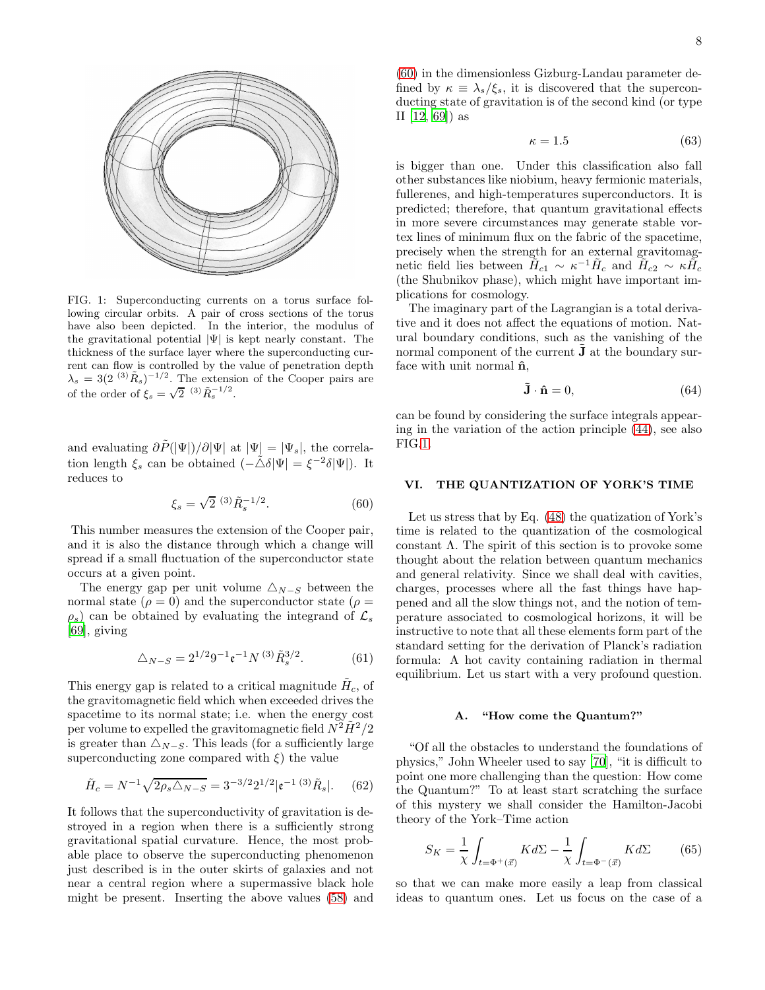

<span id="page-7-2"></span>FIG. 1: Superconducting currents on a torus surface following circular orbits. A pair of cross sections of the torus have also been depicted. In the interior, the modulus of the gravitational potential  $|\Psi|$  is kept nearly constant. The thickness of the surface layer where the superconducting current can flow is controlled by the value of penetration depth  $\lambda_s = 3(2^{(3)}\tilde{R}_s)^{-1/2}$ . The extension of the Cooper pairs are of the order of  $\xi_s = \sqrt{2}^{(3)} \tilde{R}_s^{-1/2}$ .

and evaluating  $\partial \tilde{P}(|\Psi|)/\partial |\Psi|$  at  $|\Psi| = |\Psi_s|$ , the correlation length  $\xi_s$  can be obtained  $\left(-\tilde{\triangle} \delta | \Psi| = \xi^{-2} \delta | \Psi| \right)$ . It reduces to

<span id="page-7-1"></span>
$$
\xi_s = \sqrt{2} \, \, \stackrel{(3)}{=} \, \tilde{R}_s^{-1/2} . \tag{60}
$$

This number measures the extension of the Cooper pair, and it is also the distance through which a change will spread if a small fluctuation of the superconductor state occurs at a given point.

The energy gap per unit volume  $\triangle_{N-S}$  between the normal state  $(\rho = 0)$  and the superconductor state  $(\rho = 0)$  $\rho_s$ ) can be obtained by evaluating the integrand of  $\mathcal{L}_s$ [\[69\]](#page-14-33), giving

$$
\triangle_{N-S} = 2^{1/2} 9^{-1} \mathfrak{e}^{-1} N^{(3)} \tilde{R}_s^{3/2}.
$$
 (61)

This energy gap is related to a critical magnitude  $H_c$ , of the gravitomagnetic field which when exceeded drives the spacetime to its normal state; i.e. when the energy cost per volume to expelled the gravitomagnetic field  $N^2\tilde{H}^2/2$ is greater than  $\triangle_{N-S}$ . This leads (for a sufficiently large superconducting zone compared with  $\xi$ ) the value

$$
\tilde{H}_c = N^{-1} \sqrt{2\rho_s \Delta_{N-S}} = 3^{-3/2} 2^{1/2} |\mathfrak{e}^{-1} \, (3) \, \tilde{R}_s|. \tag{62}
$$

It follows that the superconductivity of gravitation is destroyed in a region when there is a sufficiently strong gravitational spatial curvature. Hence, the most probable place to observe the superconducting phenomenon just described is in the outer skirts of galaxies and not near a central region where a supermassive black hole might be present. Inserting the above values [\(58\)](#page-6-3) and

[\(60\)](#page-7-1) in the dimensionless Gizburg-Landau parameter defined by  $\kappa \equiv \lambda_s/\xi_s$ , it is discovered that the superconducting state of gravitation is of the second kind (or type II [\[12,](#page-13-10) [69\]](#page-14-33)) as

$$
\kappa = 1.5 \tag{63}
$$

is bigger than one. Under this classification also fall other substances like niobium, heavy fermionic materials, fullerenes, and high-temperatures superconductors. It is predicted; therefore, that quantum gravitational effects in more severe circumstances may generate stable vortex lines of minimum flux on the fabric of the spacetime, precisely when the strength for an external gravitomagnetic field lies between  $\tilde{H}_{c1} \sim \kappa^{-1} \tilde{H}_c$  and  $\tilde{H}_{c2} \sim \kappa \tilde{H}_c$ (the Shubnikov phase), which might have important implications for cosmology.

The imaginary part of the Lagrangian is a total derivative and it does not affect the equations of motion. Natural boundary conditions, such as the vanishing of the normal component of the current  $\tilde{J}$  at the boundary surface with unit normal  $\hat{\mathbf{n}}$ ,

$$
\tilde{\mathbf{J}} \cdot \hat{\mathbf{n}} = 0,\tag{64}
$$

can be found by considering the surface integrals appearing in the variation of the action principle [\(44\)](#page-6-1), see also FIG[.1.](#page-7-2)

#### VI. THE QUANTIZATION OF YORK'S TIME

Let us stress that by Eq. [\(48\)](#page-6-2) the quatization of York's time is related to the quantization of the cosmological constant  $\Lambda$ . The spirit of this section is to provoke some thought about the relation between quantum mechanics and general relativity. Since we shall deal with cavities, charges, processes where all the fast things have happened and all the slow things not, and the notion of temperature associated to cosmological horizons, it will be instructive to note that all these elements form part of the standard setting for the derivation of Planck's radiation formula: A hot cavity containing radiation in thermal equilibrium. Let us start with a very profound question.

## <span id="page-7-0"></span>A. "How come the Quantum?"

"Of all the obstacles to understand the foundations of physics," John Wheeler used to say [\[70\]](#page-14-34), "it is difficult to point one more challenging than the question: How come the Quantum?" To at least start scratching the surface of this mystery we shall consider the Hamilton-Jacobi theory of the York–Time action

<span id="page-7-3"></span>
$$
S_K = \frac{1}{\chi} \int_{t = \Phi^+(\vec{x})} K d\Sigma - \frac{1}{\chi} \int_{t = \Phi^-(\vec{x})} K d\Sigma \tag{65}
$$

so that we can make more easily a leap from classical ideas to quantum ones. Let us focus on the case of a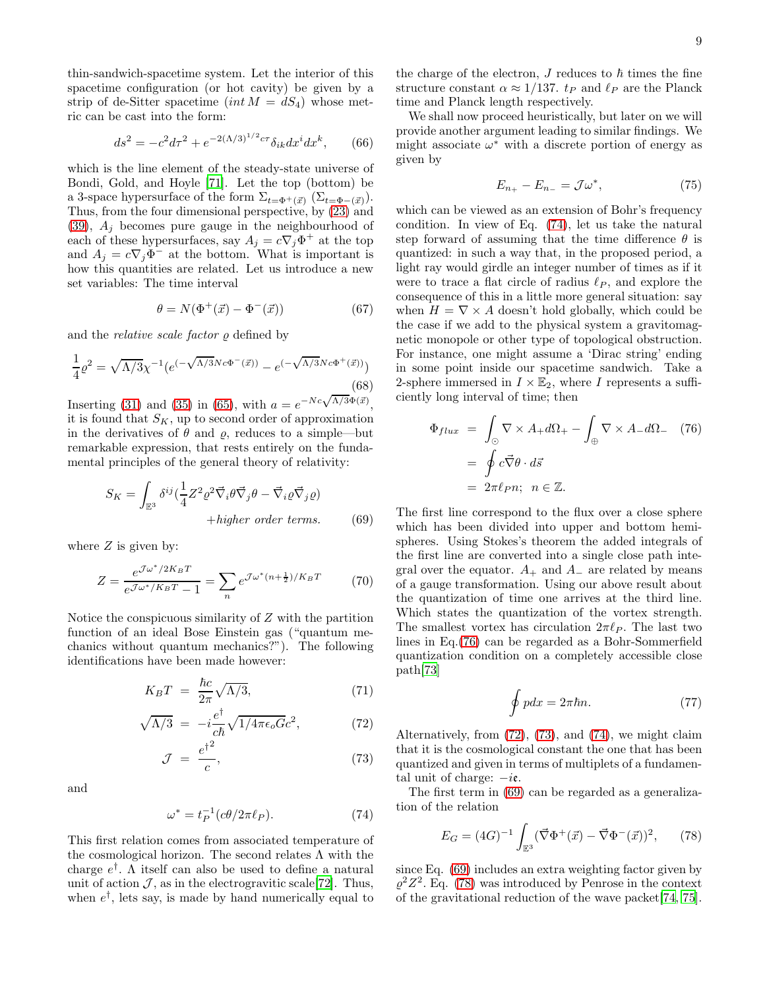thin-sandwich-spacetime system. Let the interior of this spacetime configuration (or hot cavity) be given by a strip of de-Sitter spacetime  $(int M = dS_4)$  whose metric can be cast into the form:

$$
ds^{2} = -c^{2}d\tau^{2} + e^{-2(\Lambda/3)^{1/2}c\tau}\delta_{ik}dx^{i}dx^{k},
$$
 (66)

which is the line element of the steady-state universe of Bondi, Gold, and Hoyle [\[71](#page-14-35)]. Let the top (bottom) be a 3-space hypersurface of the form  $\Sigma_{t=\Phi^+(\vec{x})}$  ( $\Sigma_{t=\Phi^-(\vec{x})}$ ). Thus, from the four dimensional perspective, by [\(23\)](#page-4-5) and [\(39\)](#page-5-2),  $A_j$  becomes pure gauge in the neighbourhood of each of these hypersurfaces, say  $A_j = c \nabla_j \Phi^+$  at the top and  $A_j = c \nabla_j \Phi^-$  at the bottom. What is important is how this quantities are related. Let us introduce a new set variables: The time interval

<span id="page-8-5"></span>
$$
\theta = N(\Phi^+(\vec{x}) - \Phi^-(\vec{x})) \tag{67}
$$

and the *relative scale factor*  $\varrho$  defined by

<span id="page-8-6"></span>
$$
\frac{1}{4}\rho^2 = \sqrt{\Lambda/3}\chi^{-1}(e^{(-\sqrt{\Lambda/3}Nc\Phi^-(\vec{x}))} - e^{(-\sqrt{\Lambda/3}Nc\Phi^+(\vec{x}))})
$$
\n(68)

Inserting [\(31\)](#page-5-3) and [\(35\)](#page-5-4) in [\(65\)](#page-7-3), with  $a = e^{-Nc\sqrt{\Lambda/3}\Phi(\vec{x})}$ , it is found that  $S_K$ , up to second order of approximation in the derivatives of  $\theta$  and  $\rho$ , reduces to a simple—but remarkable expression, that rests entirely on the fundamental principles of the general theory of relativity:

<span id="page-8-3"></span>
$$
S_K = \int_{\mathbb{E}^3} \delta^{ij} \left(\frac{1}{4} Z^2 \varrho^2 \vec{\nabla}_i \theta \vec{\nabla}_j \theta - \vec{\nabla}_i \varrho \vec{\nabla}_j \varrho\right) + higher \ order \ terms. \tag{69}
$$

where  $Z$  is given by:

$$
Z = \frac{e^{\mathcal{J}\omega^*/2K_BT}}{e^{\mathcal{J}\omega^*/K_BT}-1} = \sum_n e^{\mathcal{J}\omega^*(n+\frac{1}{2})/K_BT} \tag{70}
$$

Notice the conspicuous similarity of Z with the partition function of an ideal Bose Einstein gas ("quantum mechanics without quantum mechanics?"). The following identifications have been made however:

<span id="page-8-2"></span>
$$
K_B T = \frac{\hbar c}{2\pi} \sqrt{\Lambda/3},\tag{71}
$$

$$
\sqrt{\Lambda/3} = -i \frac{e^{\dagger}}{c\hbar} \sqrt{1/4\pi\epsilon_o G} c^2,\tag{72}
$$

$$
\mathcal{J} = \frac{e^{\dagger^2}}{c},\tag{73}
$$

and

<span id="page-8-0"></span>
$$
\omega^* = t_P^{-1} (c\theta / 2\pi \ell_P). \tag{74}
$$

This first relation comes from associated temperature of the cosmological horizon. The second relates  $\Lambda$  with the charge  $e^{\dagger}$ . A itself can also be used to define a natural unit of action  $\mathcal{J}$ , as in the electrogravitic scale [\[72\]](#page-14-36). Thus, when  $e^{\dagger}$ , lets say, is made by hand numerically equal to

the charge of the electron,  $J$  reduces to  $\hbar$  times the fine structure constant  $\alpha \approx 1/137$ .  $t_P$  and  $\ell_P$  are the Planck time and Planck length respectively.

We shall now proceed heuristically, but later on we will provide another argument leading to similar findings. We might associate  $\omega^*$  with a discrete portion of energy as given by

<span id="page-8-7"></span>
$$
E_{n_+} - E_{n_-} = \mathcal{J}\omega^*,\tag{75}
$$

which can be viewed as an extension of Bohr's frequency condition. In view of Eq. [\(74\)](#page-8-0), let us take the natural step forward of assuming that the time difference  $\theta$  is quantized: in such a way that, in the proposed period, a light ray would girdle an integer number of times as if it were to trace a flat circle of radius  $\ell_P$ , and explore the consequence of this in a little more general situation: say when  $H = \nabla \times A$  doesn't hold globally, which could be the case if we add to the physical system a gravitomagnetic monopole or other type of topological obstruction. For instance, one might assume a 'Dirac string' ending in some point inside our spacetime sandwich. Take a 2-sphere immersed in  $I \times \mathbb{E}_2$ , where I represents a sufficiently long interval of time; then

<span id="page-8-1"></span>
$$
\Phi_{flux} = \int_{\odot} \nabla \times A_+ d\Omega_+ - \int_{\oplus} \nabla \times A_- d\Omega_- \quad (76)
$$

$$
= \oint c \vec{\nabla} \theta \cdot d\vec{s}
$$

$$
= 2\pi \ell_P n; \ \ n \in \mathbb{Z}.
$$

The first line correspond to the flux over a close sphere which has been divided into upper and bottom hemispheres. Using Stokes's theorem the added integrals of the first line are converted into a single close path integral over the equator.  $A_+$  and  $A_-$  are related by means of a gauge transformation. Using our above result about the quantization of time one arrives at the third line. Which states the quantization of the vortex strength. The smallest vortex has circulation  $2\pi\ell_P$ . The last two lines in Eq.[\(76\)](#page-8-1) can be regarded as a Bohr-Sommerfield quantization condition on a completely accessible close path[\[73\]](#page-14-37)

$$
\oint pdx = 2\pi\hbar n. \tag{77}
$$

Alternatively, from [\(72\)](#page-8-2), [\(73\)](#page-8-2), and [\(74\)](#page-8-0), we might claim that it is the cosmological constant the one that has been quantized and given in terms of multiplets of a fundamental unit of charge:  $-i\mathfrak{e}$ .

The first term in [\(69\)](#page-8-3) can be regarded as a generalization of the relation

<span id="page-8-4"></span>
$$
E_G = (4G)^{-1} \int_{\mathbb{E}^3} (\vec{\nabla}\Phi^+(\vec{x}) - \vec{\nabla}\Phi^-(\vec{x}))^2, \qquad (78)
$$

since Eq. [\(69\)](#page-8-3) includes an extra weighting factor given by  $\varrho^2 Z^2$ . Eq. [\(78\)](#page-8-4) was introduced by Penrose in the context of the gravitational reduction of the wave packet[\[74,](#page-14-38) [75\]](#page-14-39).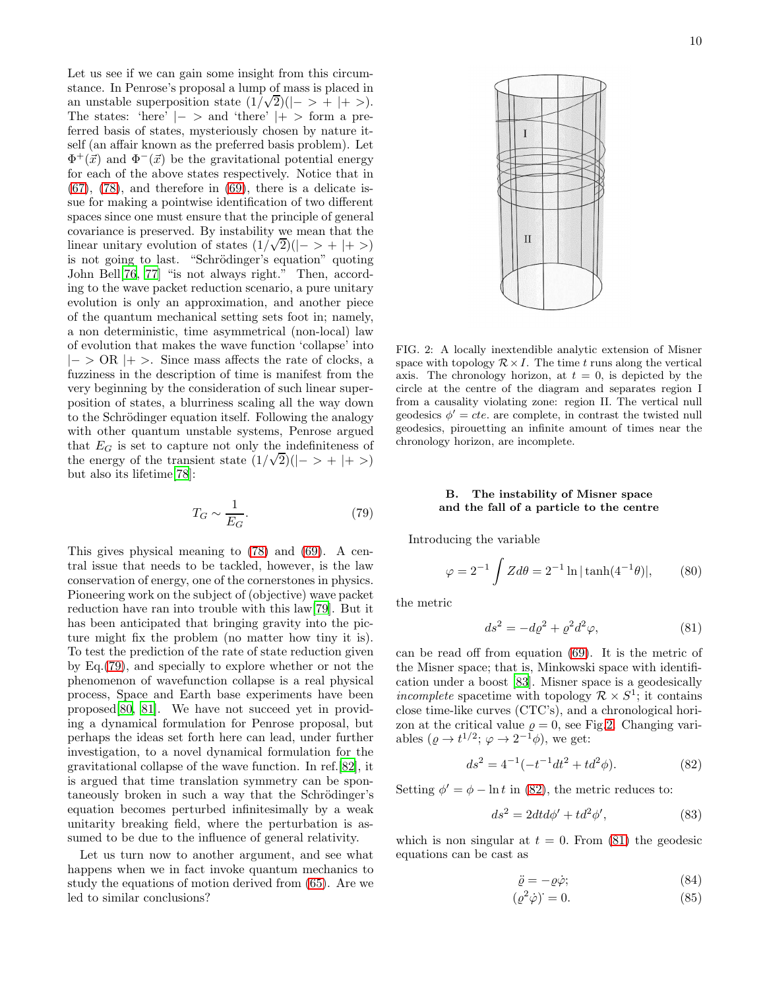Let us see if we can gain some insight from this circumstance. In Penrose's proposal a lump of mass is placed in an unstable superposition state  $(1/\sqrt{2})(|-\rangle + |+\rangle)$ . The states: 'here'  $|->$  and 'there'  $|+>$  form a preferred basis of states, mysteriously chosen by nature itself (an affair known as the preferred basis problem). Let  $\Phi^+(\vec{x})$  and  $\Phi^-(\vec{x})$  be the gravitational potential energy for each of the above states respectively. Notice that in  $(67)$ ,  $(78)$ , and therefore in  $(69)$ , there is a delicate issue for making a pointwise identification of two different spaces since one must ensure that the principle of general covariance is preserved. By instability we mean that the linear unitary evolution of states  $(1/\sqrt{2})(|-\rangle + |+\rangle)$ is not going to last. "Schrödinger's equation" quoting John Bell[\[76](#page-14-40), [77](#page-14-41)] "is not always right." Then, according to the wave packet reduction scenario, a pure unitary evolution is only an approximation, and another piece of the quantum mechanical setting sets foot in; namely, a non deterministic, time asymmetrical (non-local) law of evolution that makes the wave function 'collapse' into  $|-> \text{OR }|+>$ . Since mass affects the rate of clocks, a fuzziness in the description of time is manifest from the very beginning by the consideration of such linear superposition of states, a blurriness scaling all the way down to the Schrödinger equation itself. Following the analogy with other quantum unstable systems, Penrose argued that  $E_G$  is set to capture not only the indefiniteness of the energy of the transient state  $(1/\sqrt{2})(|-> + |+>)$ but also its lifetime[\[78](#page-14-42)]:

<span id="page-9-0"></span>
$$
T_G \sim \frac{1}{E_G}.\tag{79}
$$

This gives physical meaning to [\(78\)](#page-8-4) and [\(69\)](#page-8-3). A central issue that needs to be tackled, however, is the law conservation of energy, one of the cornerstones in physics. Pioneering work on the subject of (objective) wave packet reduction have ran into trouble with this law[\[79\]](#page-14-43). But it has been anticipated that bringing gravity into the picture might fix the problem (no matter how tiny it is). To test the prediction of the rate of state reduction given by Eq.[\(79\)](#page-9-0), and specially to explore whether or not the phenomenon of wavefunction collapse is a real physical process, Space and Earth base experiments have been proposed[\[80,](#page-14-44) [81](#page-14-45)]. We have not succeed yet in providing a dynamical formulation for Penrose proposal, but perhaps the ideas set forth here can lead, under further investigation, to a novel dynamical formulation for the gravitational collapse of the wave function. In ref.[\[82\]](#page-15-0), it is argued that time translation symmetry can be spontaneously broken in such a way that the Schrödinger's equation becomes perturbed infinitesimally by a weak unitarity breaking field, where the perturbation is assumed to be due to the influence of general relativity.

Let us turn now to another argument, and see what happens when we in fact invoke quantum mechanics to study the equations of motion derived from [\(65\)](#page-7-3). Are we led to similar conclusions?

<span id="page-9-1"></span>FIG. 2: A locally inextendible analytic extension of Misner space with topology  $\mathcal{R} \times I$ . The time t runs along the vertical axis. The chronology horizon, at  $t = 0$ , is depicted by the circle at the centre of the diagram and separates region I from a causality violating zone: region II. The vertical null geodesics  $\phi' = \text{cte}$ . are complete, in contrast the twisted null geodesics, pirouetting an infinite amount of times near the chronology horizon, are incomplete.

## B. The instability of Misner space and the fall of a particle to the centre

Introducing the variable

$$
\varphi = 2^{-1} \int Z d\theta = 2^{-1} \ln|\tanh(4^{-1}\theta)|, \qquad (80)
$$

the metric

<span id="page-9-3"></span>
$$
ds^2 = -d\varrho^2 + \varrho^2 d^2 \varphi,\tag{81}
$$

can be read off from equation [\(69\)](#page-8-3). It is the metric of the Misner space; that is, Minkowski space with identification under a boost [\[83](#page-15-1)]. Misner space is a geodesically incomplete spacetime with topology  $\mathcal{R} \times S^1$ ; it contains close time-like curves (CTC's), and a chronological horizon at the critical value  $\rho = 0$ , see Fig[.2.](#page-9-1) Changing variables  $(\varrho \to t^{1/2}; \varphi \to 2^{-1}\varphi)$ , we get:

<span id="page-9-2"></span>
$$
ds^{2} = 4^{-1}(-t^{-1}dt^{2} + td^{2}\phi).
$$
 (82)

Setting  $\phi' = \phi - \ln t$  in [\(82\)](#page-9-2), the metric reduces to:

<span id="page-9-5"></span>
$$
ds^2 = 2dt d\phi' + td^2\phi',\tag{83}
$$

which is non singular at  $t = 0$ . From [\(81\)](#page-9-3) the geodesic equations can be cast as

<span id="page-9-4"></span>
$$
\ddot{\varrho} = -\varrho \dot{\varphi};\tag{84}
$$

$$
(\varrho^2 \dot{\varphi}) = 0. \tag{85}
$$

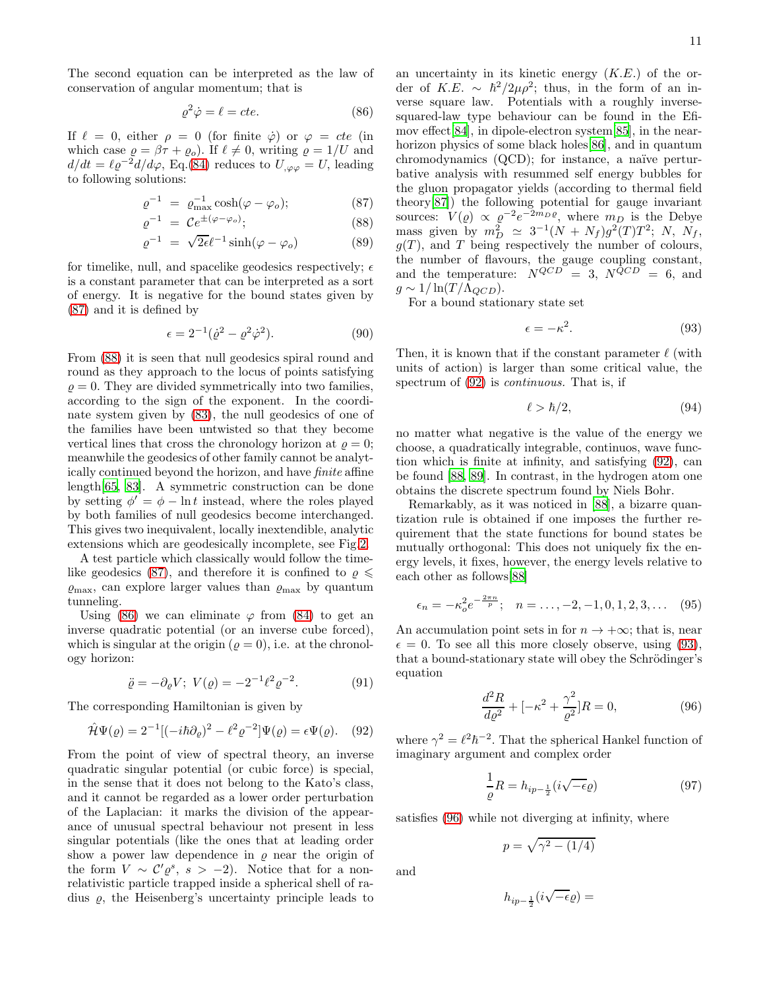The second equation can be interpreted as the law of conservation of angular momentum; that is

<span id="page-10-1"></span>
$$
\varrho^2 \dot{\varphi} = \ell = cte. \tag{86}
$$

If  $\ell = 0$ , either  $\rho = 0$  (for finite  $\dot{\varphi}$ ) or  $\varphi = cte$  (in which case  $\varrho = \beta \tau + \varrho_o$ . If  $\ell \neq 0$ , writing  $\varrho = 1/U$  and  $d/dt = \ell \varrho^{-2} d/d\varphi$ , Eq.[\(84\)](#page-9-4) reduces to  $U_{,\varphi\varphi} = U$ , leading to following solutions:

<span id="page-10-0"></span>
$$
\varrho^{-1} = \varrho_{\text{max}}^{-1} \cosh(\varphi - \varphi_o); \tag{87}
$$
\n
$$
\varrho^{-1} = C e^{\pm(\varphi - \varphi_o)}.
$$
\n(88)

$$
\varrho^{-1} = \mathcal{C}e^{\pm(\varphi - \varphi_o)}; \tag{88}
$$
\n
$$
e^{-1} = \sqrt{2\epsilon}e^{-1}\sinh(\varphi - \varphi_o) \tag{89}
$$

$$
\varrho^{-1} = \sqrt{2\epsilon}\ell^{-1}\sinh(\varphi - \varphi_o) \tag{89}
$$

for timelike, null, and spacelike geodesics respectively;  $\epsilon$ is a constant parameter that can be interpreted as a sort of energy. It is negative for the bound states given by [\(87\)](#page-10-0) and it is defined by

$$
\epsilon = 2^{-1}(\dot{\varrho}^2 - \varrho^2 \dot{\varphi}^2). \tag{90}
$$

From [\(88\)](#page-10-0) it is seen that null geodesics spiral round and round as they approach to the locus of points satisfying  $\rho = 0$ . They are divided symmetrically into two families, according to the sign of the exponent. In the coordinate system given by [\(83\)](#page-9-5), the null geodesics of one of the families have been untwisted so that they become vertical lines that cross the chronology horizon at  $\rho = 0$ ; meanwhile the geodesics of other family cannot be analytically continued beyond the horizon, and have finite affine length[\[65,](#page-14-29) [83](#page-15-1)]. A symmetric construction can be done by setting  $\phi' = \phi - \ln t$  instead, where the roles played by both families of null geodesics become interchanged. This gives two inequivalent, locally inextendible, analytic extensions which are geodesically incomplete, see Fig[.2.](#page-9-1)

A test particle which classically would follow the time-like geodesics [\(87\)](#page-10-0), and therefore it is confined to  $\rho \leq$  $\varrho_{\text{max}}$ , can explore larger values than  $\varrho_{\text{max}}$  by quantum tunneling.

Using [\(86\)](#page-10-1) we can eliminate  $\varphi$  from [\(84\)](#page-9-4) to get an inverse quadratic potential (or an inverse cube forced), which is singular at the origin  $(\varrho = 0)$ , i.e. at the chronology horizon:

$$
\ddot{\varrho} = -\partial_{\varrho} V; \ V(\varrho) = -2^{-1} \ell^2 \varrho^{-2}.
$$
 (91)

The corresponding Hamiltonian is given by

<span id="page-10-2"></span>
$$
\hat{\mathcal{H}}\Psi(\varrho) = 2^{-1}[(-i\hbar\partial_{\varrho})^{2} - \ell^{2}\varrho^{-2}]\Psi(\varrho) = \epsilon\Psi(\varrho). \quad (92)
$$

From the point of view of spectral theory, an inverse quadratic singular potential (or cubic force) is special, in the sense that it does not belong to the Kato's class, and it cannot be regarded as a lower order perturbation of the Laplacian: it marks the division of the appearance of unusual spectral behaviour not present in less singular potentials (like the ones that at leading order show a power law dependence in  $\rho$  near the origin of the form  $V \sim C' \varrho^s$ ,  $s > -2$ ). Notice that for a nonrelativistic particle trapped inside a spherical shell of radius  $\rho$ , the Heisenberg's uncertainty principle leads to

an uncertainty in its kinetic energy  $(K.E.)$  of the order of K.E. ~  $\hbar^2/2\mu\rho^2$ ; thus, in the form of an inverse square law. Potentials with a roughly inversesquared-law type behaviour can be found in the Efimov effect[\[84\]](#page-15-2), in dipole-electron system[\[85](#page-15-3)], in the nearhorizon physics of some black holes[\[86\]](#page-15-4), and in quantum chromodynamics  $(QCD)$ ; for instance, a naïve perturbative analysis with resummed self energy bubbles for the gluon propagator yields (according to thermal field theory[\[87\]](#page-15-5)) the following potential for gauge invariant sources:  $V(\rho) \propto \rho^{-2} e^{-2m_D \rho}$ , where  $m_D$  is the Debye mass given by  $m_D^2 \simeq 3^{-1}(N + N_f)g^2(T)T^2$ ; N, N<sub>f</sub>,  $g(T)$ , and T being respectively the number of colours, the number of flavours, the gauge coupling constant, and the temperature:  $N^{QCD} = 3$ ,  $N^{QCD} = 6$ , and  $g \sim 1/\ln(T/\Lambda_{QCD})$ .

For a bound stationary state set

<span id="page-10-3"></span>
$$
\epsilon = -\kappa^2. \tag{93}
$$

Then, it is known that if the constant parameter  $\ell$  (with units of action) is larger than some critical value, the spectrum of  $(92)$  is *continuous*. That is, if

$$
\ell > \hbar/2, \tag{94}
$$

no matter what negative is the value of the energy we choose, a quadratically integrable, continuos, wave function which is finite at infinity, and satisfying [\(92\)](#page-10-2), can be found [\[88,](#page-15-6) [89\]](#page-15-7). In contrast, in the hydrogen atom one obtains the discrete spectrum found by Niels Bohr.

Remarkably, as it was noticed in [\[88](#page-15-6)], a bizarre quantization rule is obtained if one imposes the further requirement that the state functions for bound states be mutually orthogonal: This does not uniquely fix the energy levels, it fixes, however, the energy levels relative to each other as follows[\[88\]](#page-15-6)

<span id="page-10-5"></span>
$$
\epsilon_n = -\kappa_o^2 e^{-\frac{2\pi n}{p}}; \quad n = \dots, -2, -1, 0, 1, 2, 3, \dots \quad (95)
$$

An accumulation point sets in for  $n \to +\infty$ ; that is, near  $\epsilon = 0$ . To see all this more closely observe, using [\(93\)](#page-10-3), that a bound-stationary state will obey the Schrödinger's equation

<span id="page-10-4"></span>
$$
\frac{d^2R}{d\varrho^2} + [-\kappa^2 + \frac{\gamma^2}{\varrho^2}]R = 0,
$$
\n(96)

where  $\gamma^2 = \ell^2 \hbar^{-2}$ . That the spherical Hankel function of imaginary argument and complex order

$$
\frac{1}{\varrho}R = h_{ip-\frac{1}{2}}(i\sqrt{-\epsilon}\varrho)
$$
\n(97)

satisfies [\(96\)](#page-10-4) while not diverging at infinity, where

$$
p = \sqrt{\gamma^2 - (1/4)}
$$

and

$$
h_{ip-\frac{1}{2}}(i\sqrt{-\epsilon}\varrho)=
$$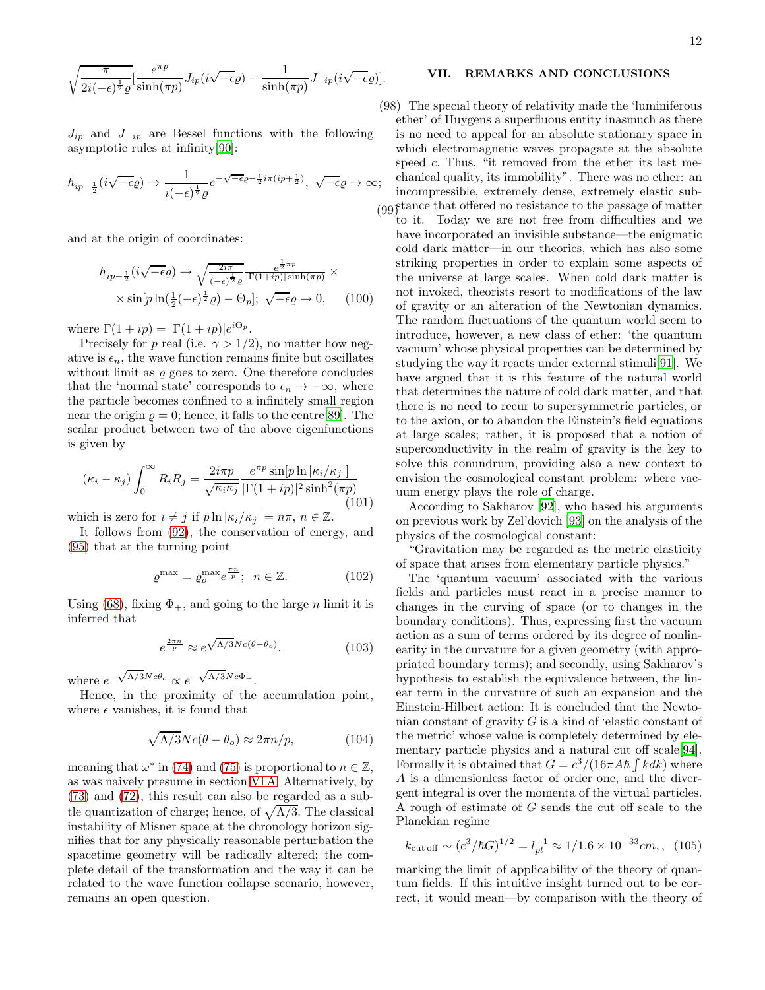$$
\sqrt{\frac{\pi}{2i(-\epsilon)^{\frac{1}{2}}\varrho}}\left[\frac{e^{\pi p}}{\sinh(\pi p)}J_{ip}(i\sqrt{-\epsilon}\varrho)-\frac{1}{\sinh(\pi p)}J_{-ip}(i\sqrt{-\epsilon}\varrho)\right].
$$

 $J_{ip}$  and  $J_{-ip}$  are Bessel functions with the following asymptotic rules at infinity[\[90](#page-15-8)]:

$$
h_{ip-\frac{1}{2}}(i\sqrt{-\epsilon}\varrho) \to \frac{1}{i(-\epsilon)^{\frac{1}{2}}\varrho} e^{-\sqrt{-\epsilon}\varrho - \frac{1}{2}i\pi(ip+\frac{1}{2})}, \sqrt{-\epsilon}\varrho \to \infty;
$$

and at the origin of coordinates:

$$
h_{ip-\frac{1}{2}}(i\sqrt{-\epsilon}\varrho) \to \sqrt{\frac{2i\pi}{(-\epsilon)^{\frac{1}{2}}\varrho}} \frac{e^{\frac{1}{2}\pi p}}{|\Gamma(1+ip)|\sinh(\pi p)} \times \times \sin[p\ln(\frac{1}{2}(-\epsilon)^{\frac{1}{2}}\varrho) - \Theta_p]; \sqrt{-\epsilon}\varrho \to 0,
$$
 (100)

where  $\Gamma(1+ip) = |\Gamma(1+ip)|e^{i\Theta_p}$ .

Precisely for p real (i.e.  $\gamma > 1/2$ ), no matter how negative is  $\epsilon_n$ , the wave function remains finite but oscillates without limit as  $\rho$  goes to zero. One therefore concludes that the 'normal state' corresponds to  $\epsilon_n \to -\infty$ , where the particle becomes confined to a infinitely small region near the origin  $\rho = 0$ ; hence, it falls to the centre [\[89\]](#page-15-7). The scalar product between two of the above eigenfunctions is given by

$$
(\kappa_i - \kappa_j) \int_0^\infty R_i R_j = \frac{2i\pi p}{\sqrt{\kappa_i \kappa_j}} \frac{e^{\pi p} \sin[p \ln |\kappa_i/\kappa_j|]}{|\Gamma(1+ip)|^2 \sinh^2(\pi p)} \tag{101}
$$

which is zero for  $i \neq j$  if  $p \ln |\kappa_i / \kappa_j| = n\pi$ ,  $n \in \mathbb{Z}$ .

It follows from [\(92\)](#page-10-2), the conservation of energy, and [\(95\)](#page-10-5) that at the turning point

$$
\varrho^{\max} = \varrho_o^{\max} e^{\frac{\pi n}{p}}; \ \ n \in \mathbb{Z}.
$$
 (102)

Using [\(68\)](#page-8-6), fixing  $\Phi_{+}$ , and going to the large n limit it is inferred that

$$
e^{\frac{2\pi n}{p}} \approx e^{\sqrt{\Lambda/3}Nc(\theta-\theta_o)}.
$$
 (103)

where  $e^{-\sqrt{\Lambda/3}Nc\theta_o} \propto e^{-\sqrt{\Lambda/3}Nc\Phi_+}.$ 

Hence, in the proximity of the accumulation point, where  $\epsilon$  vanishes, it is found that

$$
\sqrt{\Lambda/3}Nc(\theta - \theta_o) \approx 2\pi n/p,\tag{104}
$$

meaning that  $\omega^*$  in [\(74\)](#page-8-0) and [\(75\)](#page-8-7) is proportional to  $n \in \mathbb{Z}$ , as was naively presume in section [VI A.](#page-7-0) Alternatively, by [\(73\)](#page-8-2) and [\(72\)](#page-8-2), this result can also be regarded as a subtle quantization of charge; hence, of  $\sqrt{\Lambda/3}$ . The classical instability of Misner space at the chronology horizon signifies that for any physically reasonable perturbation the spacetime geometry will be radically altered; the complete detail of the transformation and the way it can be related to the wave function collapse scenario, however, remains an open question.

### <span id="page-11-0"></span>VII. REMARKS AND CONCLUSIONS

(98) The special theory of relativity made the 'luminiferous (99) stance that offered no resistance to the passage of matter ether' of Huygens a superfluous entity inasmuch as there is no need to appeal for an absolute stationary space in which electromagnetic waves propagate at the absolute speed c. Thus, "it removed from the ether its last mechanical quality, its immobility". There was no ether: an incompressible, extremely dense, extremely elastic sub-

to it. Today we are not free from difficulties and we have incorporated an invisible substance—the enigmatic cold dark matter—in our theories, which has also some striking properties in order to explain some aspects of the universe at large scales. When cold dark matter is not invoked, theorists resort to modifications of the law of gravity or an alteration of the Newtonian dynamics. The random fluctuations of the quantum world seem to introduce, however, a new class of ether: 'the quantum vacuum' whose physical properties can be determined by studying the way it reacts under external stimuli[\[91\]](#page-15-9). We have argued that it is this feature of the natural world that determines the nature of cold dark matter, and that there is no need to recur to supersymmetric particles, or to the axion, or to abandon the Einstein's field equations at large scales; rather, it is proposed that a notion of superconductivity in the realm of gravity is the key to solve this conundrum, providing also a new context to envision the cosmological constant problem: where vacuum energy plays the role of charge.

According to Sakharov [\[92](#page-15-10)], who based his arguments on previous work by Zel'dovich [\[93\]](#page-15-11) on the analysis of the physics of the cosmological constant:

"Gravitation may be regarded as the metric elasticity of space that arises from elementary particle physics."

The 'quantum vacuum' associated with the various fields and particles must react in a precise manner to changes in the curving of space (or to changes in the boundary conditions). Thus, expressing first the vacuum action as a sum of terms ordered by its degree of nonlinearity in the curvature for a given geometry (with appropriated boundary terms); and secondly, using Sakharov's hypothesis to establish the equivalence between, the linear term in the curvature of such an expansion and the Einstein-Hilbert action: It is concluded that the Newtonian constant of gravity  $G$  is a kind of 'elastic constant of the metric' whose value is completely determined by ele-mentary particle physics and a natural cut off scale[\[94\]](#page-15-12). Formally it is obtained that  $G = c^3/(16\pi A\hbar \int kdk)$  where A is a dimensionless factor of order one, and the divergent integral is over the momenta of the virtual particles. A rough of estimate of G sends the cut off scale to the Planckian regime

<span id="page-11-1"></span>
$$
k_{\text{cut off}} \sim (c^3/\hbar G)^{1/2} = l_{pl}^{-1} \approx 1/1.6 \times 10^{-33} cm
$$
, (105)

marking the limit of applicability of the theory of quantum fields. If this intuitive insight turned out to be correct, it would mean—by comparison with the theory of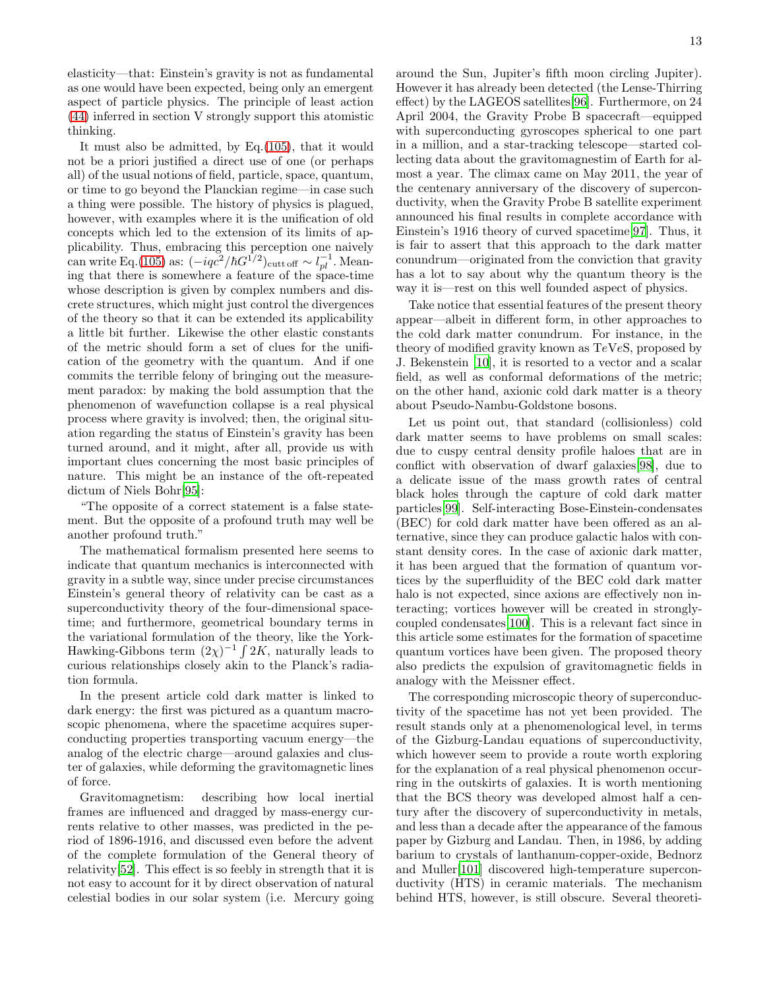elasticity—that: Einstein's gravity is not as fundamental as one would have been expected, being only an emergent aspect of particle physics. The principle of least action [\(44\)](#page-6-1) inferred in section V strongly support this atomistic thinking.

It must also be admitted, by Eq.[\(105\)](#page-11-1), that it would not be a priori justified a direct use of one (or perhaps all) of the usual notions of field, particle, space, quantum, or time to go beyond the Planckian regime—in case such a thing were possible. The history of physics is plagued, however, with examples where it is the unification of old concepts which led to the extension of its limits of applicability. Thus, embracing this perception one naively can write Eq.[\(105\)](#page-11-1) as:  $(-iqc^2/\hbar G^{1/2})_{\text{cutt off}} \sim l_{pl}^{-1}$ . Meaning that there is somewhere a feature of the space-time whose description is given by complex numbers and discrete structures, which might just control the divergences of the theory so that it can be extended its applicability a little bit further. Likewise the other elastic constants of the metric should form a set of clues for the unification of the geometry with the quantum. And if one commits the terrible felony of bringing out the measurement paradox: by making the bold assumption that the phenomenon of wavefunction collapse is a real physical process where gravity is involved; then, the original situation regarding the status of Einstein's gravity has been turned around, and it might, after all, provide us with important clues concerning the most basic principles of nature. This might be an instance of the oft-repeated dictum of Niels Bohr[\[95](#page-15-13)]:

"The opposite of a correct statement is a false statement. But the opposite of a profound truth may well be another profound truth."

The mathematical formalism presented here seems to indicate that quantum mechanics is interconnected with gravity in a subtle way, since under precise circumstances Einstein's general theory of relativity can be cast as a superconductivity theory of the four-dimensional spacetime; and furthermore, geometrical boundary terms in the variational formulation of the theory, like the York-Hawking-Gibbons term  $(2\chi)^{-1} \int 2K$ , naturally leads to curious relationships closely akin to the Planck's radiation formula.

In the present article cold dark matter is linked to dark energy: the first was pictured as a quantum macroscopic phenomena, where the spacetime acquires superconducting properties transporting vacuum energy—the analog of the electric charge—around galaxies and cluster of galaxies, while deforming the gravitomagnetic lines of force.

Gravitomagnetism: describing how local inertial frames are influenced and dragged by mass-energy currents relative to other masses, was predicted in the period of 1896-1916, and discussed even before the advent of the complete formulation of the General theory of relativity[\[52\]](#page-14-16). This effect is so feebly in strength that it is not easy to account for it by direct observation of natural celestial bodies in our solar system (i.e. Mercury going around the Sun, Jupiter's fifth moon circling Jupiter). However it has already been detected (the Lense-Thirring effect) by the LAGEOS satellites[\[96\]](#page-15-14). Furthermore, on 24 April 2004, the Gravity Probe B spacecraft—equipped with superconducting gyroscopes spherical to one part in a million, and a star-tracking telescope—started collecting data about the gravitomagnestim of Earth for almost a year. The climax came on May 2011, the year of the centenary anniversary of the discovery of superconductivity, when the Gravity Probe B satellite experiment announced his final results in complete accordance with Einstein's 1916 theory of curved spacetime[\[97\]](#page-15-15). Thus, it is fair to assert that this approach to the dark matter conundrum—originated from the conviction that gravity has a lot to say about why the quantum theory is the way it is—rest on this well founded aspect of physics.

Take notice that essential features of the present theory appear—albeit in different form, in other approaches to the cold dark matter conundrum. For instance, in the theory of modified gravity known as TeVeS, proposed by J. Bekenstein [\[10](#page-13-8)], it is resorted to a vector and a scalar field, as well as conformal deformations of the metric; on the other hand, axionic cold dark matter is a theory about Pseudo-Nambu-Goldstone bosons.

Let us point out, that standard (collisionless) cold dark matter seems to have problems on small scales: due to cuspy central density profile haloes that are in conflict with observation of dwarf galaxies[\[98\]](#page-15-16), due to a delicate issue of the mass growth rates of central black holes through the capture of cold dark matter particles[\[99\]](#page-15-17). Self-interacting Bose-Einstein-condensates (BEC) for cold dark matter have been offered as an alternative, since they can produce galactic halos with constant density cores. In the case of axionic dark matter, it has been argued that the formation of quantum vortices by the superfluidity of the BEC cold dark matter halo is not expected, since axions are effectively non interacting; vortices however will be created in stronglycoupled condensates[\[100\]](#page-15-18). This is a relevant fact since in this article some estimates for the formation of spacetime quantum vortices have been given. The proposed theory also predicts the expulsion of gravitomagnetic fields in analogy with the Meissner effect.

The corresponding microscopic theory of superconductivity of the spacetime has not yet been provided. The result stands only at a phenomenological level, in terms of the Gizburg-Landau equations of superconductivity, which however seem to provide a route worth exploring for the explanation of a real physical phenomenon occurring in the outskirts of galaxies. It is worth mentioning that the BCS theory was developed almost half a century after the discovery of superconductivity in metals, and less than a decade after the appearance of the famous paper by Gizburg and Landau. Then, in 1986, by adding barium to crystals of lanthanum-copper-oxide, Bednorz and Muller[\[101\]](#page-15-19) discovered high-temperature superconductivity (HTS) in ceramic materials. The mechanism behind HTS, however, is still obscure. Several theoreti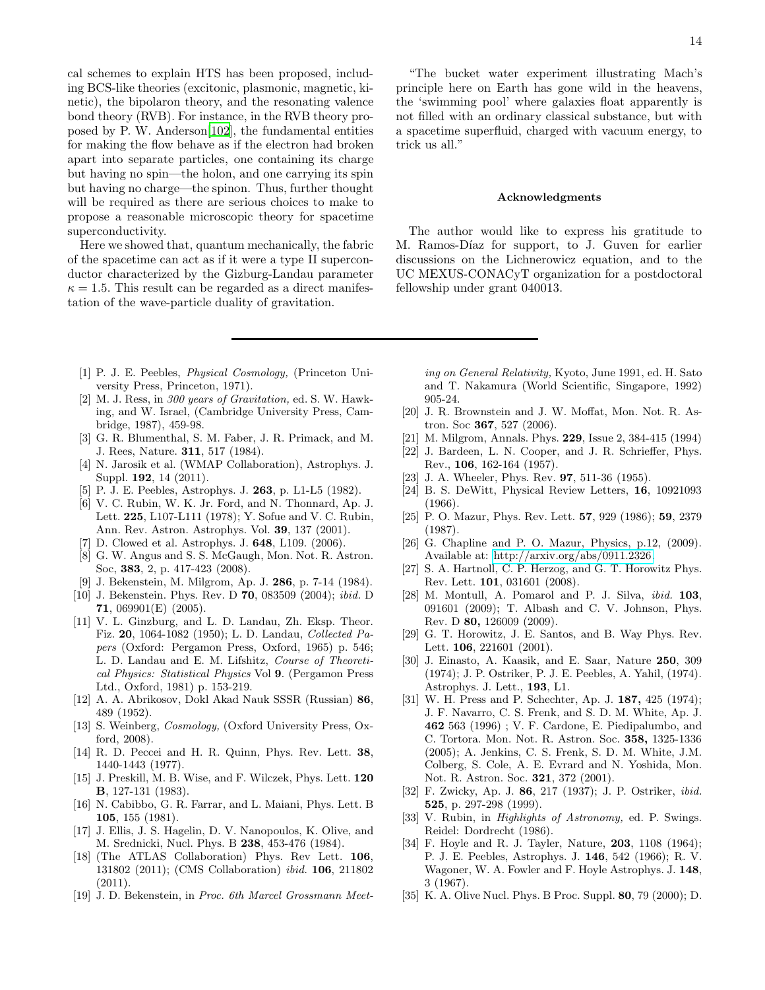cal schemes to explain HTS has been proposed, including BCS-like theories (excitonic, plasmonic, magnetic, kinetic), the bipolaron theory, and the resonating valence bond theory (RVB). For instance, in the RVB theory proposed by P. W. Anderson[\[102\]](#page-15-20), the fundamental entities for making the flow behave as if the electron had broken apart into separate particles, one containing its charge but having no spin—the holon, and one carrying its spin but having no charge—the spinon. Thus, further thought will be required as there are serious choices to make to propose a reasonable microscopic theory for spacetime superconductivity.

Here we showed that, quantum mechanically, the fabric of the spacetime can act as if it were a type II superconductor characterized by the Gizburg-Landau parameter  $\kappa = 1.5$ . This result can be regarded as a direct manifestation of the wave-particle duality of gravitation.

14

"The bucket water experiment illustrating Mach's principle here on Earth has gone wild in the heavens, the 'swimming pool' where galaxies float apparently is not filled with an ordinary classical substance, but with a spacetime superfluid, charged with vacuum energy, to trick us all."

#### Acknowledgments

The author would like to express his gratitude to M. Ramos-Díaz for support, to J. Guven for earlier discussions on the Lichnerowicz equation, and to the UC MEXUS-CONACyT organization for a postdoctoral fellowship under grant 040013.

- <span id="page-13-0"></span>[1] P. J. E. Peebles, *Physical Cosmology,* (Princeton University Press, Princeton, 1971).
- <span id="page-13-1"></span>[2] M. J. Ress, in *300 years of Gravitation,* ed. S. W. Hawking, and W. Israel, (Cambridge University Press, Cambridge, 1987), 459-98.
- <span id="page-13-2"></span>[3] G. R. Blumenthal, S. M. Faber, J. R. Primack, and M. J. Rees, Nature. 311, 517 (1984).
- <span id="page-13-3"></span>[4] N. Jarosik et al. (WMAP Collaboration), Astrophys. J. Suppl. 192, 14 (2011).
- <span id="page-13-4"></span>[5] P. J. E. Peebles, Astrophys. J. 263, p. L1-L5 (1982).
- <span id="page-13-5"></span>[6] V. C. Rubin, W. K. Jr. Ford, and N. Thonnard, Ap. J. Lett. 225, L107-L111 (1978); Y. Sofue and V. C. Rubin, Ann. Rev. Astron. Astrophys. Vol. 39, 137 (2001).
- <span id="page-13-6"></span>[7] D. Clowed et al. Astrophys. J. 648, L109. (2006).
- <span id="page-13-7"></span>[8] G. W. Angus and S. S. McGaugh, Mon. Not. R. Astron. Soc, 383, 2, p. 417-423 (2008).
- [9] J. Bekenstein, M. Milgrom, Ap. J. 286, p. 7-14 (1984).
- <span id="page-13-8"></span>[10] J. Bekenstein. Phys. Rev. D 70, 083509 (2004); *ibid.* D 71, 069901(E) (2005).
- <span id="page-13-9"></span>[11] V. L. Ginzburg, and L. D. Landau, Zh. Eksp. Theor. Fiz. 20, 1064-1082 (1950); L. D. Landau, *Collected Papers* (Oxford: Pergamon Press, Oxford, 1965) p. 546; L. D. Landau and E. M. Lifshitz, *Course of Theoretical Physics: Statistical Physics* Vol 9. (Pergamon Press Ltd., Oxford, 1981) p. 153-219.
- <span id="page-13-10"></span>[12] A. A. Abrikosov, Dokl Akad Nauk SSSR (Russian) 86, 489 (1952).
- <span id="page-13-11"></span>[13] S. Weinberg, *Cosmology,* (Oxford University Press, Oxford, 2008).
- <span id="page-13-12"></span>[14] R. D. Peccei and H. R. Quinn, Phys. Rev. Lett. 38, 1440-1443 (1977).
- <span id="page-13-13"></span>[15] J. Preskill, M. B. Wise, and F. Wilczek, Phys. Lett. 120 B, 127-131 (1983).
- <span id="page-13-14"></span>[16] N. Cabibbo, G. R. Farrar, and L. Maiani, Phys. Lett. B 105, 155 (1981).
- <span id="page-13-15"></span>[17] J. Ellis, J. S. Hagelin, D. V. Nanopoulos, K. Olive, and M. Srednicki, Nucl. Phys. B 238, 453-476 (1984).
- <span id="page-13-16"></span>[18] (The ATLAS Collaboration) Phys. Rev Lett. 106. 131802 (2011); (CMS Collaboration) *ibid.* 106, 211802 (2011).
- <span id="page-13-17"></span>[19] J. D. Bekenstein, in *Proc. 6th Marcel Grossmann Meet-*

*ing on General Relativity,* Kyoto, June 1991, ed. H. Sato and T. Nakamura (World Scientific, Singapore, 1992) 905-24.

- <span id="page-13-18"></span>[20] J. R. Brownstein and J. W. Moffat, Mon. Not. R. Astron. Soc 367, 527 (2006).
- <span id="page-13-19"></span>[21] M. Milgrom, Annals. Phys. 229, Issue 2, 384-415 (1994)
- <span id="page-13-20"></span>[22] J. Bardeen, L. N. Cooper, and J. R. Schrieffer, Phys. Rev., 106, 162-164 (1957).
- <span id="page-13-21"></span>[23] J. A. Wheeler, Phys. Rev. **97**, 511-36 (1955).
- <span id="page-13-22"></span>[24] B. S. DeWitt, Physical Review Letters, 16, 10921093 (1966).
- <span id="page-13-23"></span>[25] P. O. Mazur, Phys. Rev. Lett. 57, 929 (1986); 59, 2379 (1987).
- <span id="page-13-24"></span>[26] G. Chapline and P. O. Mazur, Physics, p.12, (2009). Available at: [http://arxiv.org/abs/0911.2326.](http://arxiv.org/abs/0911.2326)
- <span id="page-13-25"></span>[27] S. A. Hartnoll, C. P. Herzog, and G. T. Horowitz Phys. Rev. Lett. 101, 031601 (2008).
- <span id="page-13-26"></span>[28] M. Montull, A. Pomarol and P. J. Silva, *ibid.* 103, 091601 (2009); T. Albash and C. V. Johnson, Phys. Rev. D 80, 126009 (2009).
- <span id="page-13-27"></span>[29] G. T. Horowitz, J. E. Santos, and B. Way Phys. Rev. Lett. **106**, 221601 (2001).
- <span id="page-13-28"></span>[30] J. Einasto, A. Kaasik, and E. Saar, Nature 250, 309 (1974); J. P. Ostriker, P. J. E. Peebles, A. Yahil, (1974). Astrophys. J. Lett., 193, L1.
- <span id="page-13-29"></span>[31] W. H. Press and P. Schechter, Ap. J. **187,** 425 (1974); J. F. Navarro, C. S. Frenk, and S. D. M. White, Ap. J. 462 563 (1996) ; V. F. Cardone, E. Piedipalumbo, and C. Tortora. Mon. Not. R. Astron. Soc. 358, 1325-1336 (2005); A. Jenkins, C. S. Frenk, S. D. M. White, J.M. Colberg, S. Cole, A. E. Evrard and N. Yoshida, Mon. Not. R. Astron. Soc. 321, 372 (2001).
- <span id="page-13-30"></span>[32] F. Zwicky, Ap. J. 86, 217 (1937); J. P. Ostriker, *ibid.* 525, p. 297-298 (1999).
- <span id="page-13-31"></span>[33] V. Rubin, in *Highlights of Astronomy,* ed. P. Swings. Reidel: Dordrecht (1986).
- <span id="page-13-32"></span>[34] F. Hoyle and R. J. Tayler, Nature, **203**, 1108 (1964); P. J. E. Peebles, Astrophys. J. 146, 542 (1966); R. V. Wagoner, W. A. Fowler and F. Hoyle Astrophys. J. 148, 3 (1967).
- <span id="page-13-33"></span>[35] K. A. Olive Nucl. Phys. B Proc. Suppl. 80, 79 (2000); D.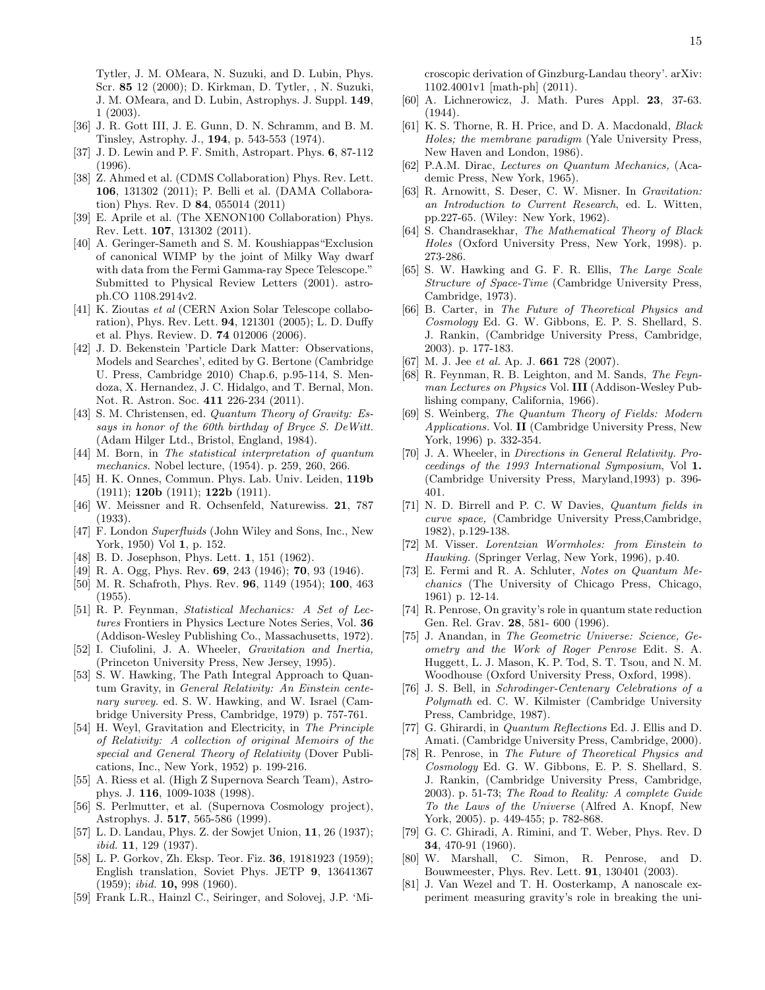Tytler, J. M. OMeara, N. Suzuki, and D. Lubin, Phys. Scr. 85 12 (2000); D. Kirkman, D. Tytler, , N. Suzuki, J. M. OMeara, and D. Lubin, Astrophys. J. Suppl. 149, 1 (2003).

- <span id="page-14-0"></span>[36] J. R. Gott III, J. E. Gunn, D. N. Schramm, and B. M. Tinsley, Astrophy. J., 194, p. 543-553 (1974).
- <span id="page-14-1"></span>[37] J. D. Lewin and P. F. Smith, Astropart. Phys. 6, 87-112 (1996).
- <span id="page-14-2"></span>[38] Z. Ahmed et al. (CDMS Collaboration) Phys. Rev. Lett. 106, 131302 (2011); P. Belli et al. (DAMA Collaboration) Phys. Rev. D 84, 055014 (2011)
- <span id="page-14-3"></span>[39] E. Aprile et al. (The XENON100 Collaboration) Phys. Rev. Lett. 107, 131302 (2011).
- <span id="page-14-4"></span>[40] A. Geringer-Sameth and S. M. Koushiappas"Exclusion of canonical WIMP by the joint of Milky Way dwarf with data from the Fermi Gamma-ray Spece Telescope." Submitted to Physical Review Letters (2001). astroph.CO 1108.2914v2.
- <span id="page-14-5"></span>[41] K. Zioutas *et al* (CERN Axion Solar Telescope collaboration), Phys. Rev. Lett. 94, 121301 (2005); L. D. Duffy et al. Phys. Review. D. 74 012006 (2006).
- <span id="page-14-6"></span>[42] J. D. Bekenstein 'Particle Dark Matter: Observations, Models and Searches', edited by G. Bertone (Cambridge U. Press, Cambridge 2010) Chap.6, p.95-114, S. Mendoza, X. Hernandez, J. C. Hidalgo, and T. Bernal, Mon. Not. R. Astron. Soc. 411 226-234 (2011).
- <span id="page-14-7"></span>[43] S. M. Christensen, ed. *Quantum Theory of Gravity: Essays in honor of the 60th birthday of Bryce S. DeWitt.* (Adam Hilger Ltd., Bristol, England, 1984).
- <span id="page-14-8"></span>[44] M. Born, in *The statistical interpretation of quantum mechanics.* Nobel lecture, (1954). p. 259, 260, 266.
- <span id="page-14-9"></span>[45] H. K. Onnes, Commun. Phys. Lab. Univ. Leiden, 119b (1911); 120b (1911); 122b (1911).
- <span id="page-14-10"></span>[46] W. Meissner and R. Ochsenfeld, Naturewiss. 21, 787 (1933).
- <span id="page-14-11"></span>[47] F. London *Superfluids* (John Wiley and Sons, Inc., New York, 1950) Vol 1, p. 152.
- <span id="page-14-12"></span>[48] B. D. Josephson, Phys. Lett. **1**, 151 (1962).
- <span id="page-14-13"></span>[49] R. A. Ogg, Phys. Rev. **69**, 243 (1946); **70**, 93 (1946).
- <span id="page-14-14"></span>[50] M. R. Schafroth, Phys. Rev. **96**, 1149 (1954); **100**, 463 (1955).
- <span id="page-14-15"></span>[51] R. P. Feynman, *Statistical Mechanics: A Set of Lectures* Frontiers in Physics Lecture Notes Series, Vol. 36 (Addison-Wesley Publishing Co., Massachusetts, 1972).
- <span id="page-14-16"></span>[52] I. Ciufolini, J. A. Wheeler, *Gravitation and Inertia,* (Princeton University Press, New Jersey, 1995).
- <span id="page-14-17"></span>[53] S. W. Hawking, The Path Integral Approach to Quantum Gravity, in *General Relativity: An Einstein centenary survey.* ed. S. W. Hawking, and W. Israel (Cambridge University Press, Cambridge, 1979) p. 757-761.
- <span id="page-14-18"></span>[54] H. Weyl, Gravitation and Electricity, in *The Principle of Relativity: A collection of original Memoirs of the special and General Theory of Relativity* (Dover Publications, Inc., New York, 1952) p. 199-216.
- <span id="page-14-19"></span>[55] A. Riess et al. (High Z Supernova Search Team), Astrophys. J. 116, 1009-1038 (1998).
- <span id="page-14-20"></span>[56] S. Perlmutter, et al. (Supernova Cosmology project), Astrophys. J. 517, 565-586 (1999).
- <span id="page-14-21"></span>[57] L. D. Landau, Phys. Z. der Sowjet Union, 11, 26 (1937); *ibid.* 11, 129 (1937).
- <span id="page-14-22"></span>[58] L. P. Gorkov, Zh. Eksp. Teor. Fiz. 36, 19181923 (1959); English translation, Soviet Phys. JETP 9, 13641367 (1959); *ibid.* 10, 998 (1960).
- <span id="page-14-23"></span>[59] Frank L.R., Hainzl C., Seiringer, and Solovej, J.P. 'Mi-

croscopic derivation of Ginzburg-Landau theory'. arXiv: 1102.4001v1 [math-ph] (2011).

- <span id="page-14-24"></span>[60] A. Lichnerowicz, J. Math. Pures Appl. 23, 37-63. (1944).
- <span id="page-14-25"></span>[61] K. S. Thorne, R. H. Price, and D. A. Macdonald, *Black Holes; the membrane paradigm* (Yale University Press, New Haven and London, 1986).
- <span id="page-14-26"></span>[62] P.A.M. Dirac, *Lectures on Quantum Mechanics,* (Academic Press, New York, 1965).
- <span id="page-14-27"></span>[63] R. Arnowitt, S. Deser, C. W. Misner. In *Gravitation: an Introduction to Current Research*, ed. L. Witten, pp.227-65. (Wiley: New York, 1962).
- <span id="page-14-28"></span>[64] S. Chandrasekhar, *The Mathematical Theory of Black Holes* (Oxford University Press, New York, 1998). p. 273-286.
- <span id="page-14-29"></span>[65] S. W. Hawking and G. F. R. Ellis, *The Large Scale Structure of Space-Time* (Cambridge University Press, Cambridge, 1973).
- <span id="page-14-30"></span>[66] B. Carter, in *The Future of Theoretical Physics and Cosmology* Ed. G. W. Gibbons, E. P. S. Shellard, S. J. Rankin, (Cambridge University Press, Cambridge, 2003). p. 177-183.
- <span id="page-14-31"></span>[67] M. J. Jee *et al.* Ap. J. 661 728 (2007).
- <span id="page-14-32"></span>[68] R. Feynman, R. B. Leighton, and M. Sands, *The Feynman Lectures on Physics* Vol. III (Addison-Wesley Publishing company, California, 1966).
- <span id="page-14-33"></span>[69] S. Weinberg, *The Quantum Theory of Fields: Modern Applications.* Vol. II (Cambridge University Press, New York, 1996) p. 332-354.
- <span id="page-14-34"></span>[70] J. A. Wheeler, in *Directions in General Relativity. Proceedings of the 1993 International Symposium*, Vol 1. (Cambridge University Press, Maryland,1993) p. 396- 401.
- <span id="page-14-35"></span>[71] N. D. Birrell and P. C. W Davies, *Quantum fields in curve space,* (Cambridge University Press,Cambridge, 1982), p.129-138.
- <span id="page-14-36"></span>[72] M. Visser. *Lorentzian Wormholes: from Einstein to Hawking.* (Springer Verlag, New York, 1996), p.40.
- <span id="page-14-37"></span>[73] E. Fermi and R. A. Schluter, *Notes on Quantum Mechanics* (The University of Chicago Press, Chicago, 1961) p. 12-14.
- <span id="page-14-38"></span>[74] R. Penrose, On gravity's role in quantum state reduction Gen. Rel. Grav. 28, 581- 600 (1996).
- <span id="page-14-39"></span>[75] J. Anandan, in *The Geometric Universe: Science, Geometry and the Work of Roger Penrose* Edit. S. A. Huggett, L. J. Mason, K. P. Tod, S. T. Tsou, and N. M. Woodhouse (Oxford University Press, Oxford, 1998).
- <span id="page-14-40"></span>[76] J. S. Bell, in *Schrodinger-Centenary Celebrations of a Polymath* ed. C. W. Kilmister (Cambridge University Press, Cambridge, 1987).
- <span id="page-14-41"></span>[77] G. Ghirardi, in *Quantum Reflections* Ed. J. Ellis and D. Amati. (Cambridge University Press, Cambridge, 2000).
- <span id="page-14-42"></span>[78] R. Penrose, in *The Future of Theoretical Physics and Cosmology* Ed. G. W. Gibbons, E. P. S. Shellard, S. J. Rankin, (Cambridge University Press, Cambridge, 2003). p. 51-73; *The Road to Reality: A complete Guide To the Laws of the Universe* (Alfred A. Knopf, New York, 2005). p. 449-455; p. 782-868.
- <span id="page-14-43"></span>[79] G. C. Ghiradi, A. Rimini, and T. Weber, Phys. Rev. D 34, 470-91 (1960).
- <span id="page-14-44"></span>[80] W. Marshall, C. Simon, R. Penrose, and D. Bouwmeester, Phys. Rev. Lett. 91, 130401 (2003).
- <span id="page-14-45"></span>[81] J. Van Wezel and T. H. Oosterkamp, A nanoscale experiment measuring gravity's role in breaking the uni-